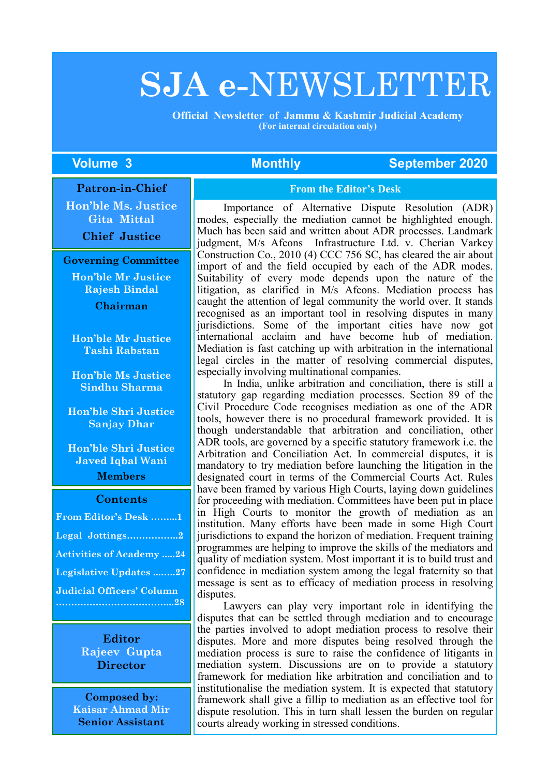# **SJA e-**NEWSLETTER

 **Official Newsletter of Jammu & Kashmir Judicial Academy (For internal circulation only)**

#### **The Volume 3 Monthly September 2020**

#### **Patron-in-Chief**

**Hon'ble Ms. Justice Gita Mittal**

**Chief Justice**

#### **Governing Committee**

**Hon'ble Mr Justice Rajesh Bindal Chairman**

**Hon'ble Mr Justice Tashi Rabstan**

**Hon'ble Ms Justice Sindhu Sharma**

**Hon'ble Shri Justice Sanjay Dhar**

**Hon'ble Shri Justice Javed Iqbal Wani Members**

#### **Contents**

| From Editor's Desk 1             |  |
|----------------------------------|--|
| Legal Jottings2                  |  |
| <b>Activities of Academy 24</b>  |  |
| <b>Legislative Updates 27</b>    |  |
| <b>Judicial Officers' Column</b> |  |
|                                  |  |

**Editor Rajeev Gupta Director**

**Composed by: Kaisar Ahmad Mir Senior Assistant**

#### **From the Editor's Desk**

Importance of Alternative Dispute Resolution (ADR) modes, especially the mediation cannot be highlighted enough. Much has been said and written about ADR processes. Landmark judgment, M/s Afcons Infrastructure Ltd. v. Cherian Varkey Construction Co., 2010 (4) CCC 756 SC, has cleared the air about import of and the field occupied by each of the ADR modes. Suitability of every mode depends upon the nature of the litigation, as clarified in M/s Afcons. Mediation process has caught the attention of legal community the world over. It stands recognised as an important tool in resolving disputes in many jurisdictions. Some of the important cities have now got international acclaim and have become hub of mediation. Mediation is fast catching up with arbitration in the international legal circles in the matter of resolving commercial disputes, especially involving multinational companies.

In India, unlike arbitration and conciliation, there is still a statutory gap regarding mediation processes. Section 89 of the Civil Procedure Code recognises mediation as one of the ADR tools, however there is no procedural framework provided. It is though understandable that arbitration and conciliation, other ADR tools, are governed by a specific statutory framework i.e. the Arbitration and Conciliation Act. In commercial disputes, it is mandatory to try mediation before launching the litigation in the designated court in terms of the Commercial Courts Act. Rules have been framed by various High Courts, laying down guidelines for proceeding with mediation. Committees have been put in place in High Courts to monitor the growth of mediation as an institution. Many efforts have been made in some High Court jurisdictions to expand the horizon of mediation. Frequent training programmes are helping to improve the skills of the mediators and quality of mediation system. Most important it is to build trust and confidence in mediation system among the legal fraternity so that message is sent as to efficacy of mediation process in resolving disputes.

Lawyers can play very important role in identifying the disputes that can be settled through mediation and to encourage the parties involved to adopt mediation process to resolve their disputes. More and more disputes being resolved through the mediation process is sure to raise the confidence of litigants in mediation system. Discussions are on to provide a statutory framework for mediation like arbitration and conciliation and to institutionalise the mediation system. It is expected that statutory framework shall give a fillip to mediation as an effective tool for dispute resolution. This in turn shall lessen the burden on regular courts already working in stressed conditions.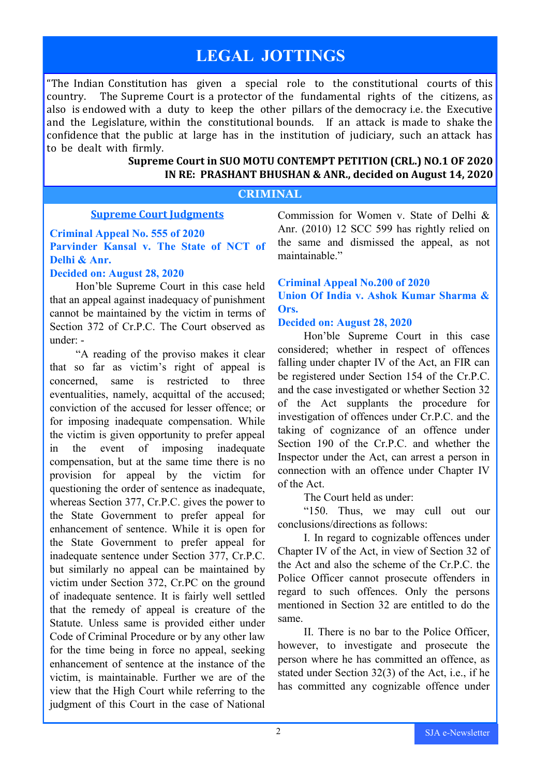# **LEGAL JOTTINGS**

"The Indian Constitution has given a special role to the constitutional courts of this country. The Supreme Court is a protector of the fundamental rights of the citizens, as also is endowed with a duty to keep the other pillars of the democracy i.e. the Executive and the Legislature, within the constitutional bounds. If an attack is made to shake the confidence that the public at large has in the institution of judiciary, such an attack has to be dealt with firmly.

#### **Supreme Court in SUO MOTU CONTEMPT PETITION (CRL.) NO.1 OF 2020 IN RE: PRASHANT BHUSHAN & ANR., decided on August 14, 2020**

#### **CRIMINAL**

#### **Supreme Court Judgments**

### **Criminal Appeal No. 555 of 2020 Parvinder Kansal v. The State of NCT of Delhi & Anr.**

#### **Decided on: August 28, 2020**

Hon'ble Supreme Court in this case held that an appeal against inadequacy of punishment cannot be maintained by the victim in terms of Section 372 of Cr.P.C. The Court observed as under: -

"A reading of the proviso makes it clear that so far as victim's right of appeal is concerned, same is restricted to three eventualities, namely, acquittal of the accused; conviction of the accused for lesser offence; or for imposing inadequate compensation. While the victim is given opportunity to prefer appeal in the event of imposing inadequate compensation, but at the same time there is no provision for appeal by the victim for questioning the order of sentence as inadequate, whereas Section 377, Cr.P.C. gives the power to the State Government to prefer appeal for enhancement of sentence. While it is open for the State Government to prefer appeal for inadequate sentence under Section 377, Cr.P.C. but similarly no appeal can be maintained by victim under Section 372, Cr.PC on the ground of inadequate sentence. It is fairly well settled that the remedy of appeal is creature of the Statute. Unless same is provided either under Code of Criminal Procedure or by any other law for the time being in force no appeal, seeking enhancement of sentence at the instance of the victim, is maintainable. Further we are of the view that the High Court while referring to the judgment of this Court in the case of National

Commission for Women v. State of Delhi & Anr. (2010) 12 SCC 599 has rightly relied on the same and dismissed the appeal, as not maintainable."

#### **Criminal Appeal No.200 of 2020 Union Of India v. Ashok Kumar Sharma & Ors.**

#### **Decided on: August 28, 2020**

Hon'ble Supreme Court in this case considered; whether in respect of offences falling under chapter IV of the Act, an FIR can be registered under Section 154 of the Cr.P.C. and the case investigated or whether Section 32 of the Act supplants the procedure for investigation of offences under Cr.P.C. and the taking of cognizance of an offence under Section 190 of the Cr.P.C. and whether the Inspector under the Act, can arrest a person in connection with an offence under Chapter IV of the Act.

The Court held as under:

"150. Thus, we may cull out our conclusions/directions as follows:

I. In regard to cognizable offences under Chapter IV of the Act, in view of Section 32 of the Act and also the scheme of the Cr.P.C. the Police Officer cannot prosecute offenders in regard to such offences. Only the persons mentioned in Section 32 are entitled to do the same.

II. There is no bar to the Police Officer, however, to investigate and prosecute the person where he has committed an offence, as stated under Section 32(3) of the Act, i.e., if he has committed any cognizable offence under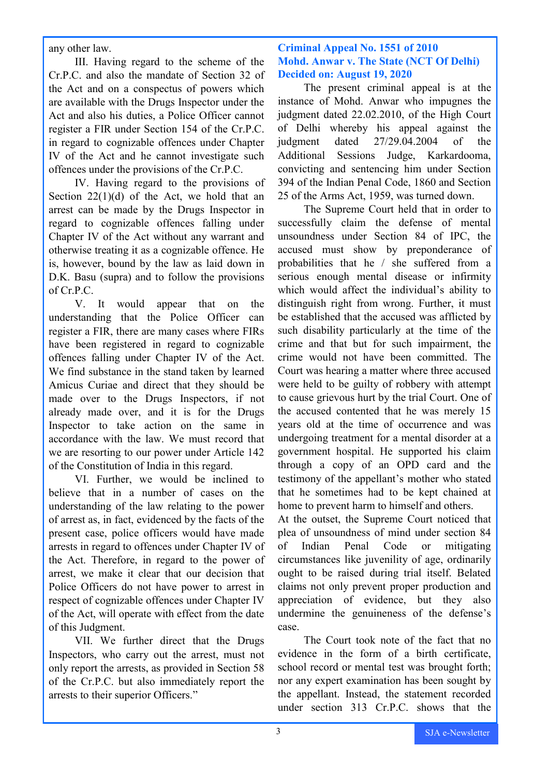any other law.

III. Having regard to the scheme of the Cr.P.C. and also the mandate of Section 32 of the Act and on a conspectus of powers which are available with the Drugs Inspector under the Act and also his duties, a Police Officer cannot register a FIR under Section 154 of the Cr.P.C. in regard to cognizable offences under Chapter IV of the Act and he cannot investigate such offences under the provisions of the Cr.P.C.

IV. Having regard to the provisions of Section  $22(1)(d)$  of the Act, we hold that an arrest can be made by the Drugs Inspector in regard to cognizable offences falling under Chapter IV of the Act without any warrant and otherwise treating it as a cognizable offence. He is, however, bound by the law as laid down in D.K. Basu (supra) and to follow the provisions of Cr.P.C.

V. It would appear that on the understanding that the Police Officer can register a FIR, there are many cases where FIRs have been registered in regard to cognizable offences falling under Chapter IV of the Act. We find substance in the stand taken by learned Amicus Curiae and direct that they should be made over to the Drugs Inspectors, if not already made over, and it is for the Drugs Inspector to take action on the same in accordance with the law. We must record that we are resorting to our power under Article 142 of the Constitution of India in this regard.

VI. Further, we would be inclined to believe that in a number of cases on the understanding of the law relating to the power of arrest as, in fact, evidenced by the facts of the present case, police officers would have made arrests in regard to offences under Chapter IV of the Act. Therefore, in regard to the power of arrest, we make it clear that our decision that Police Officers do not have power to arrest in respect of cognizable offences under Chapter IV of the Act, will operate with effect from the date of this Judgment.

VII. We further direct that the Drugs Inspectors, who carry out the arrest, must not only report the arrests, as provided in Section 58 of the Cr.P.C. but also immediately report the arrests to their superior Officers."

#### **Criminal Appeal No. 1551 of 2010 Mohd. Anwar v. The State (NCT Of Delhi) Decided on: August 19, 2020**

The present criminal appeal is at the instance of Mohd. Anwar who impugnes the judgment dated 22.02.2010, of the High Court of Delhi whereby his appeal against the judgment dated 27/29.04.2004 of the Additional Sessions Judge, Karkardooma, convicting and sentencing him under Section 394 of the Indian Penal Code, 1860 and Section 25 of the Arms Act, 1959, was turned down.

The Supreme Court held that in order to successfully claim the defense of mental unsoundness under Section 84 of IPC, the accused must show by preponderance of probabilities that he / she suffered from a serious enough mental disease or infirmity which would affect the individual's ability to distinguish right from wrong. Further, it must be established that the accused was afflicted by such disability particularly at the time of the crime and that but for such impairment, the crime would not have been committed. The Court was hearing a matter where three accused were held to be guilty of robbery with attempt to cause grievous hurt by the trial Court. One of the accused contented that he was merely 15 years old at the time of occurrence and was undergoing treatment for a mental disorder at a government hospital. He supported his claim through a copy of an OPD card and the testimony of the appellant's mother who stated that he sometimes had to be kept chained at home to prevent harm to himself and others.

At the outset, the Supreme Court noticed that plea of unsoundness of mind under section 84 of Indian Penal Code or mitigating circumstances like juvenility of age, ordinarily ought to be raised during trial itself. Belated claims not only prevent proper production and appreciation of evidence, but they also undermine the genuineness of the defense's case.

The Court took note of the fact that no evidence in the form of a birth certificate, school record or mental test was brought forth; nor any expert examination has been sought by the appellant. Instead, the statement recorded under section 313 Cr.P.C. shows that the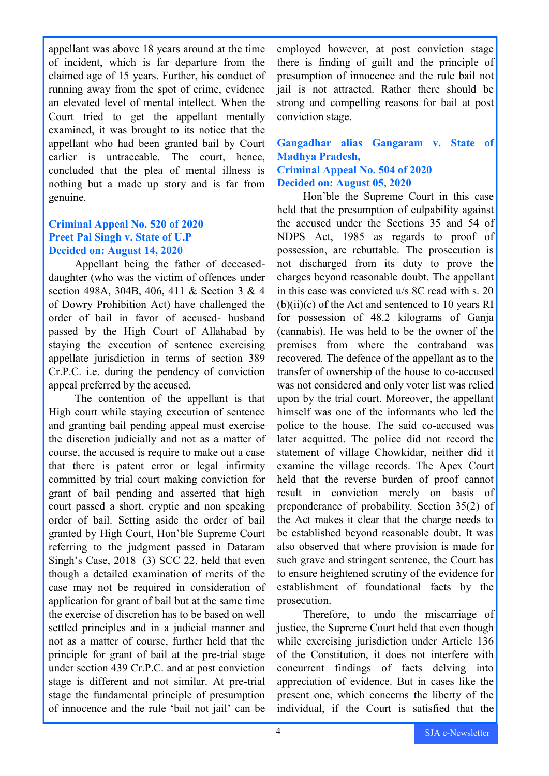appellant was above 18 years around at the time of incident, which is far departure from the claimed age of 15 years. Further, his conduct of running away from the spot of crime, evidence an elevated level of mental intellect. When the Court tried to get the appellant mentally examined, it was brought to its notice that the appellant who had been granted bail by Court earlier is untraceable. The court, hence, concluded that the plea of mental illness is nothing but a made up story and is far from genuine.

#### **Criminal Appeal No. 520 of 2020 Preet Pal Singh v. State of U.P Decided on: August 14, 2020**

Appellant being the father of deceaseddaughter (who was the victim of offences under section 498A, 304B, 406, 411 & Section 3 & 4 of Dowry Prohibition Act) have challenged the order of bail in favor of accused- husband passed by the High Court of Allahabad by staying the execution of sentence exercising appellate jurisdiction in terms of section 389 Cr.P.C. i.e. during the pendency of conviction appeal preferred by the accused.

The contention of the appellant is that High court while staying execution of sentence and granting bail pending appeal must exercise the discretion judicially and not as a matter of course, the accused is require to make out a case that there is patent error or legal infirmity committed by trial court making conviction for grant of bail pending and asserted that high court passed a short, cryptic and non speaking order of bail. Setting aside the order of bail granted by High Court, Hon'ble Supreme Court referring to the judgment passed in Dataram Singh's Case, 2018 (3) SCC 22, held that even though a detailed examination of merits of the case may not be required in consideration of application for grant of bail but at the same time the exercise of discretion has to be based on well settled principles and in a judicial manner and not as a matter of course, further held that the principle for grant of bail at the pre-trial stage under section 439 Cr.P.C. and at post conviction stage is different and not similar. At pre-trial stage the fundamental principle of presumption of innocence and the rule 'bail not jail' can be

employed however, at post conviction stage there is finding of guilt and the principle of presumption of innocence and the rule bail not jail is not attracted. Rather there should be strong and compelling reasons for bail at post conviction stage.

**Gangadhar alias Gangaram v. State of Madhya Pradesh, Criminal Appeal No. 504 of 2020 Decided on: August 05, 2020**

Hon'ble the Supreme Court in this case held that the presumption of culpability against the accused under the Sections 35 and 54 of NDPS Act, 1985 as regards to proof of possession, are rebuttable. The prosecution is not discharged from its duty to prove the charges beyond reasonable doubt. The appellant in this case was convicted u/s 8C read with s. 20  $(b)(ii)(c)$  of the Act and sentenced to 10 years RI for possession of 48.2 kilograms of Ganja (cannabis). He was held to be the owner of the premises from where the contraband was recovered. The defence of the appellant as to the transfer of ownership of the house to co-accused was not considered and only voter list was relied upon by the trial court. Moreover, the appellant himself was one of the informants who led the police to the house. The said co-accused was later acquitted. The police did not record the statement of village Chowkidar, neither did it examine the village records. The Apex Court held that the reverse burden of proof cannot result in conviction merely on basis of preponderance of probability. Section 35(2) of the Act makes it clear that the charge needs to be established beyond reasonable doubt. It was also observed that where provision is made for such grave and stringent sentence, the Court has to ensure heightened scrutiny of the evidence for establishment of foundational facts by the prosecution.

Therefore, to undo the miscarriage of justice, the Supreme Court held that even though while exercising jurisdiction under Article 136 of the Constitution, it does not interfere with concurrent findings of facts delving into appreciation of evidence. But in cases like the present one, which concerns the liberty of the individual, if the Court is satisfied that the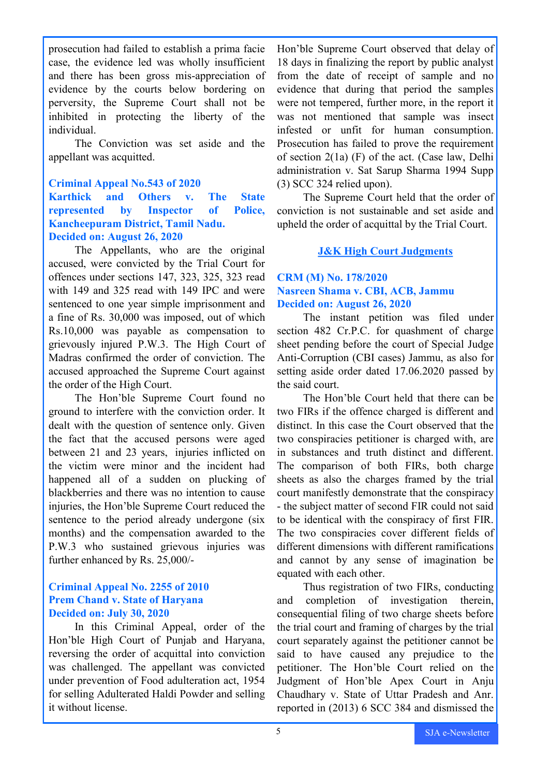prosecution had failed to establish a prima facie case, the evidence led was wholly insufficient and there has been gross mis-appreciation of evidence by the courts below bordering on perversity, the Supreme Court shall not be inhibited in protecting the liberty of the individual.

The Conviction was set aside and the appellant was acquitted.

#### **Criminal Appeal No.543 of 2020 Karthick and Others v. The State represented by Inspector of Police, Kancheepuram District, Tamil Nadu. Decided on: August 26, 2020**

The Appellants, who are the original accused, were convicted by the Trial Court for offences under sections 147, 323, 325, 323 read with 149 and 325 read with 149 IPC and were sentenced to one year simple imprisonment and a fine of Rs. 30,000 was imposed, out of which Rs.10,000 was payable as compensation to grievously injured P.W.3. The High Court of Madras confirmed the order of conviction. The accused approached the Supreme Court against the order of the High Court.

The Hon'ble Supreme Court found no ground to interfere with the conviction order. It dealt with the question of sentence only. Given the fact that the accused persons were aged between 21 and 23 years, injuries inflicted on the victim were minor and the incident had happened all of a sudden on plucking of blackberries and there was no intention to cause injuries, the Hon'ble Supreme Court reduced the sentence to the period already undergone (six months) and the compensation awarded to the P.W.3 who sustained grievous injuries was further enhanced by Rs. 25,000/-

#### **Criminal Appeal No. 2255 of 2010 Prem Chand v. State of Haryana Decided on: July 30, 2020**

In this Criminal Appeal, order of the Hon'ble High Court of Punjab and Haryana, reversing the order of acquittal into conviction was challenged. The appellant was convicted under prevention of Food adulteration act, 1954 for selling Adulterated Haldi Powder and selling it without license.

Hon'ble Supreme Court observed that delay of 18 days in finalizing the report by public analyst from the date of receipt of sample and no evidence that during that period the samples were not tempered, further more, in the report it was not mentioned that sample was insect infested or unfit for human consumption. Prosecution has failed to prove the requirement of section 2(1a) (F) of the act. (Case law, Delhi administration v. Sat Sarup Sharma 1994 Supp (3) SCC 324 relied upon).

The Supreme Court held that the order of conviction is not sustainable and set aside and upheld the order of acquittal by the Trial Court.

#### **J&K High Court Judgments**

#### **CRM (M) No. 178/2020 Nasreen Shama v. CBI, ACB, Jammu Decided on: August 26, 2020**

The instant petition was filed under section 482 Cr.P.C. for quashment of charge sheet pending before the court of Special Judge Anti-Corruption (CBI cases) Jammu, as also for setting aside order dated 17.06.2020 passed by the said court.

The Hon'ble Court held that there can be two FIRs if the offence charged is different and distinct. In this case the Court observed that the two conspiracies petitioner is charged with, are in substances and truth distinct and different. The comparison of both FIRs, both charge sheets as also the charges framed by the trial court manifestly demonstrate that the conspiracy - the subject matter of second FIR could not said to be identical with the conspiracy of first FIR. The two conspiracies cover different fields of different dimensions with different ramifications and cannot by any sense of imagination be equated with each other.

Thus registration of two FIRs, conducting and completion of investigation therein, consequential filing of two charge sheets before the trial court and framing of charges by the trial court separately against the petitioner cannot be said to have caused any prejudice to the petitioner. The Hon'ble Court relied on the Judgment of Hon'ble Apex Court in Anju Chaudhary v. State of Uttar Pradesh and Anr. reported in (2013) 6 SCC 384 and dismissed the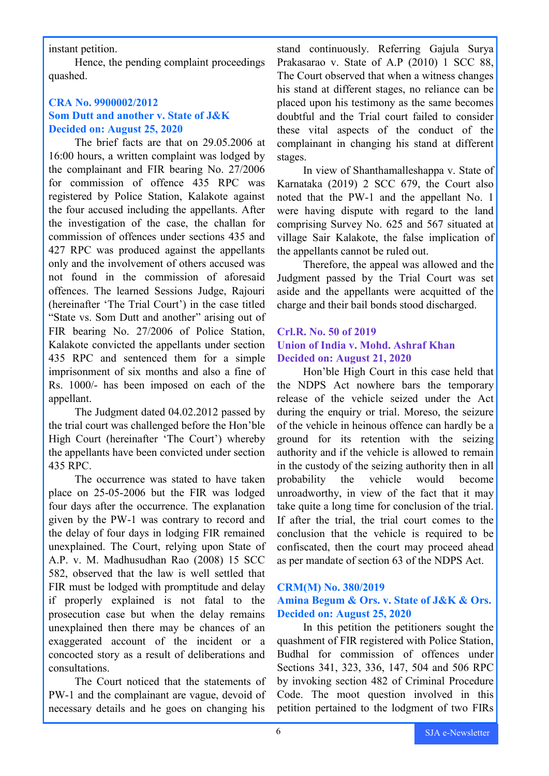instant petition.

Hence, the pending complaint proceedings quashed.

#### **CRA No. 9900002/2012 Som Dutt and another v. State of J&K Decided on: August 25, 2020**

The brief facts are that on 29.05.2006 at 16:00 hours, a written complaint was lodged by the complainant and FIR bearing No. 27/2006 for commission of offence 435 RPC was registered by Police Station, Kalakote against the four accused including the appellants. After the investigation of the case, the challan for commission of offences under sections 435 and 427 RPC was produced against the appellants only and the involvement of others accused was not found in the commission of aforesaid offences. The learned Sessions Judge, Rajouri (hereinafter 'The Trial Court') in the case titled "State vs. Som Dutt and another" arising out of FIR bearing No. 27/2006 of Police Station, Kalakote convicted the appellants under section 435 RPC and sentenced them for a simple imprisonment of six months and also a fine of Rs. 1000/- has been imposed on each of the appellant.

The Judgment dated 04.02.2012 passed by the trial court was challenged before the Hon'ble High Court (hereinafter 'The Court') whereby the appellants have been convicted under section 435 RPC.

The occurrence was stated to have taken place on 25-05-2006 but the FIR was lodged four days after the occurrence. The explanation given by the PW-1 was contrary to record and the delay of four days in lodging FIR remained unexplained. The Court, relying upon State of A.P. v. M. Madhusudhan Rao (2008) 15 SCC 582, observed that the law is well settled that FIR must be lodged with promptitude and delay if properly explained is not fatal to the prosecution case but when the delay remains unexplained then there may be chances of an exaggerated account of the incident or a concocted story as a result of deliberations and consultations.

The Court noticed that the statements of PW-1 and the complainant are vague, devoid of necessary details and he goes on changing his

stand continuously. Referring Gajula Surya Prakasarao v. State of A.P (2010) 1 SCC 88, The Court observed that when a witness changes his stand at different stages, no reliance can be placed upon his testimony as the same becomes doubtful and the Trial court failed to consider these vital aspects of the conduct of the complainant in changing his stand at different stages.

In view of Shanthamalleshappa v. State of Karnataka (2019) 2 SCC 679, the Court also noted that the PW-1 and the appellant No. 1 were having dispute with regard to the land comprising Survey No. 625 and 567 situated at village Sair Kalakote, the false implication of the appellants cannot be ruled out.

Therefore, the appeal was allowed and the Judgment passed by the Trial Court was set aside and the appellants were acquitted of the charge and their bail bonds stood discharged.

#### **Crl.R. No. 50 of 2019 Union of India v. Mohd. Ashraf Khan Decided on: August 21, 2020**

Hon'ble High Court in this case held that the NDPS Act nowhere bars the temporary release of the vehicle seized under the Act during the enquiry or trial. Moreso, the seizure of the vehicle in heinous offence can hardly be a ground for its retention with the seizing authority and if the vehicle is allowed to remain in the custody of the seizing authority then in all probability the vehicle would become unroadworthy, in view of the fact that it may take quite a long time for conclusion of the trial. If after the trial, the trial court comes to the conclusion that the vehicle is required to be confiscated, then the court may proceed ahead as per mandate of section 63 of the NDPS Act.

#### **CRM(M) No. 380/2019**

#### **Amina Begum & Ors. v. State of J&K & Ors. Decided on: August 25, 2020**

In this petition the petitioners sought the quashment of FIR registered with Police Station, Budhal for commission of offences under Sections 341, 323, 336, 147, 504 and 506 RPC by invoking section 482 of Criminal Procedure Code. The moot question involved in this petition pertained to the lodgment of two FIRs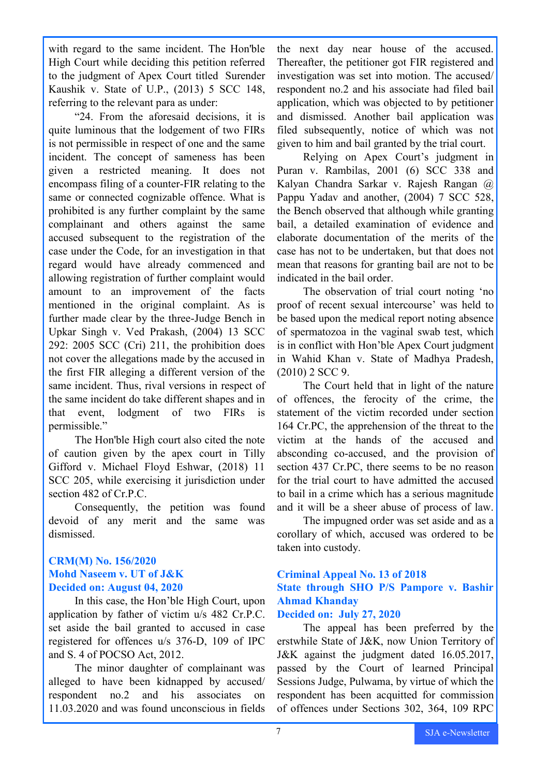with regard to the same incident. The Hon'ble High Court while deciding this petition referred to the judgment of Apex Court titled Surender Kaushik v. State of U.P., (2013) 5 SCC 148, referring to the relevant para as under:

"24. From the aforesaid decisions, it is quite luminous that the lodgement of two FIRs is not permissible in respect of one and the same incident. The concept of sameness has been given a restricted meaning. It does not encompass filing of a counter-FIR relating to the same or connected cognizable offence. What is prohibited is any further complaint by the same complainant and others against the same accused subsequent to the registration of the case under the Code, for an investigation in that regard would have already commenced and allowing registration of further complaint would amount to an improvement of the facts mentioned in the original complaint. As is further made clear by the three-Judge Bench in Upkar Singh v. Ved Prakash, (2004) 13 SCC 292: 2005 SCC (Cri) 211, the prohibition does not cover the allegations made by the accused in the first FIR alleging a different version of the same incident. Thus, rival versions in respect of the same incident do take different shapes and in that event, lodgment of two FIRs is permissible."

The Hon'ble High court also cited the note of caution given by the apex court in Tilly Gifford v. Michael Floyd Eshwar, (2018) 11 SCC 205, while exercising it jurisdiction under section 482 of Cr.P.C.

Consequently, the petition was found devoid of any merit and the same was dismissed.

### **CRM(M) No. 156/2020 Mohd Naseem v. UT of J&K Decided on: August 04, 2020**

In this case, the Hon'ble High Court, upon application by father of victim u/s 482 Cr.P.C. set aside the bail granted to accused in case registered for offences u/s 376-D, 109 of IPC and S. 4 of POCSO Act, 2012.

The minor daughter of complainant was alleged to have been kidnapped by accused/ respondent no.2 and his associates on 11.03.2020 and was found unconscious in fields the next day near house of the accused. Thereafter, the petitioner got FIR registered and investigation was set into motion. The accused/ respondent no.2 and his associate had filed bail application, which was objected to by petitioner and dismissed. Another bail application was filed subsequently, notice of which was not given to him and bail granted by the trial court.

Relying on Apex Court's judgment in Puran v. Rambilas, 2001 (6) SCC 338 and Kalyan Chandra Sarkar v. Rajesh Rangan @ Pappu Yadav and another, (2004) 7 SCC 528, the Bench observed that although while granting bail, a detailed examination of evidence and elaborate documentation of the merits of the case has not to be undertaken, but that does not mean that reasons for granting bail are not to be indicated in the bail order.

The observation of trial court noting 'no proof of recent sexual intercourse' was held to be based upon the medical report noting absence of spermatozoa in the vaginal swab test, which is in conflict with Hon'ble Apex Court judgment in Wahid Khan v. State of Madhya Pradesh, (2010) 2 SCC 9.

The Court held that in light of the nature of offences, the ferocity of the crime, the statement of the victim recorded under section 164 Cr.PC, the apprehension of the threat to the victim at the hands of the accused and absconding co-accused, and the provision of section 437 Cr.PC, there seems to be no reason for the trial court to have admitted the accused to bail in a crime which has a serious magnitude and it will be a sheer abuse of process of law.

The impugned order was set aside and as a corollary of which, accused was ordered to be taken into custody.

### **Criminal Appeal No. 13 of 2018 State through SHO P/S Pampore v. Bashir Ahmad Khanday**

#### **Decided on: July 27, 2020**

The appeal has been preferred by the erstwhile State of J&K, now Union Territory of J&K against the judgment dated 16.05.2017, passed by the Court of learned Principal Sessions Judge, Pulwama, by virtue of which the respondent has been acquitted for commission of offences under Sections 302, 364, 109 RPC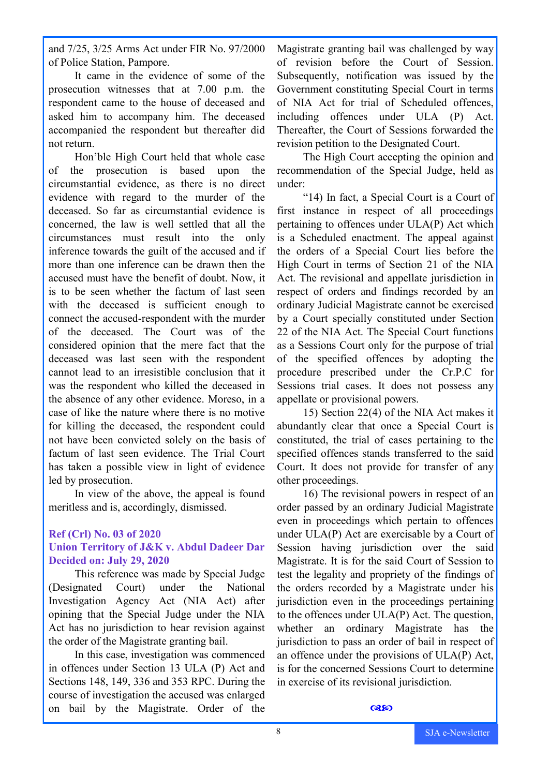and 7/25, 3/25 Arms Act under FIR No. 97/2000 of Police Station, Pampore.

It came in the evidence of some of the prosecution witnesses that at 7.00 p.m. the respondent came to the house of deceased and asked him to accompany him. The deceased accompanied the respondent but thereafter did not return.

Hon'ble High Court held that whole case of the prosecution is based upon the circumstantial evidence, as there is no direct evidence with regard to the murder of the deceased. So far as circumstantial evidence is concerned, the law is well settled that all the circumstances must result into the only inference towards the guilt of the accused and if more than one inference can be drawn then the accused must have the benefit of doubt. Now, it is to be seen whether the factum of last seen with the deceased is sufficient enough to connect the accused-respondent with the murder of the deceased. The Court was of the considered opinion that the mere fact that the deceased was last seen with the respondent cannot lead to an irresistible conclusion that it was the respondent who killed the deceased in the absence of any other evidence. Moreso, in a case of like the nature where there is no motive for killing the deceased, the respondent could not have been convicted solely on the basis of factum of last seen evidence. The Trial Court has taken a possible view in light of evidence led by prosecution.

In view of the above, the appeal is found meritless and is, accordingly, dismissed.

#### **Ref (Crl) No. 03 of 2020 Union Territory of J&K v. Abdul Dadeer Dar Decided on: July 29, 2020**

This reference was made by Special Judge (Designated Court) under the National Investigation Agency Act (NIA Act) after opining that the Special Judge under the NIA Act has no jurisdiction to hear revision against the order of the Magistrate granting bail.

In this case, investigation was commenced in offences under Section 13 ULA (P) Act and Sections 148, 149, 336 and 353 RPC. During the course of investigation the accused was enlarged on bail by the Magistrate. Order of the Magistrate granting bail was challenged by way of revision before the Court of Session. Subsequently, notification was issued by the Government constituting Special Court in terms of NIA Act for trial of Scheduled offences, including offences under ULA (P) Act. Thereafter, the Court of Sessions forwarded the revision petition to the Designated Court.

The High Court accepting the opinion and recommendation of the Special Judge, held as under:

"14) In fact, a Special Court is a Court of first instance in respect of all proceedings pertaining to offences under ULA(P) Act which is a Scheduled enactment. The appeal against the orders of a Special Court lies before the High Court in terms of Section 21 of the NIA Act. The revisional and appellate jurisdiction in respect of orders and findings recorded by an ordinary Judicial Magistrate cannot be exercised by a Court specially constituted under Section 22 of the NIA Act. The Special Court functions as a Sessions Court only for the purpose of trial of the specified offences by adopting the procedure prescribed under the Cr.P.C for Sessions trial cases. It does not possess any appellate or provisional powers.

15) Section 22(4) of the NIA Act makes it abundantly clear that once a Special Court is constituted, the trial of cases pertaining to the specified offences stands transferred to the said Court. It does not provide for transfer of any other proceedings.

16) The revisional powers in respect of an order passed by an ordinary Judicial Magistrate even in proceedings which pertain to offences under ULA(P) Act are exercisable by a Court of Session having jurisdiction over the said Magistrate. It is for the said Court of Session to test the legality and propriety of the findings of the orders recorded by a Magistrate under his jurisdiction even in the proceedings pertaining to the offences under ULA(P) Act. The question, whether an ordinary Magistrate has the jurisdiction to pass an order of bail in respect of an offence under the provisions of ULA(P) Act, is for the concerned Sessions Court to determine in exercise of its revisional jurisdiction.

#### **Q350**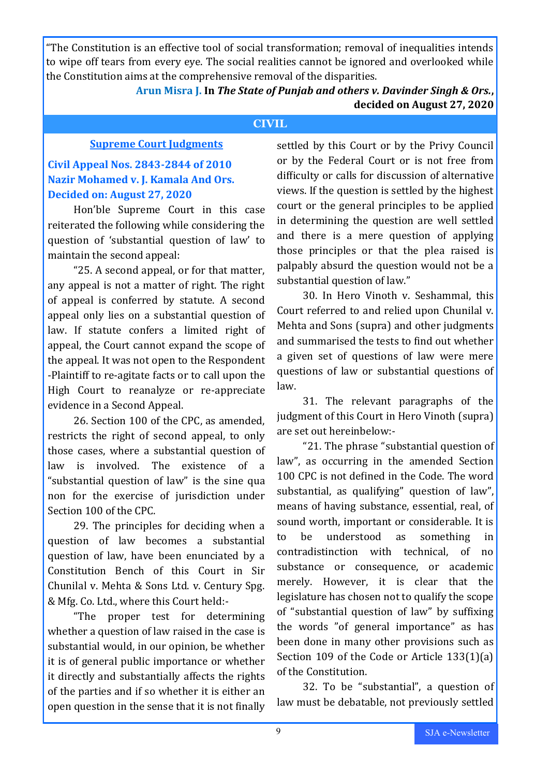"The Constitution is an effective tool of social transformation; removal of inequalities intends to wipe off tears from every eye. The social realities cannot be ignored and overlooked while the Constitution aims at the comprehensive removal of the disparities.

# **Arun Misra J. In** *The State of Punjab and others v. Davinder Singh & Ors.***, decided on August 27, 2020**

#### **CIVIL**

#### **Supreme Court Judgments**

# **Civil Appeal Nos. 2843-2844 of 2010 Nazir Mohamed v. J. Kamala And Ors. Decided on: August 27, 2020**

Hon'ble Supreme Court in this case reiterated the following while considering the question of 'substantial question of law' to maintain the second appeal:

"25. A second appeal, or for that matter, any appeal is not a matter of right. The right of appeal is conferred by statute. A second appeal only lies on a substantial question of law. If statute confers a limited right of appeal, the Court cannot expand the scope of the appeal. It was not open to the Respondent -Plaintiff to re-agitate facts or to call upon the High Court to reanalyze or re-appreciate evidence in a Second Appeal.

26. Section 100 of the CPC, as amended, restricts the right of second appeal, to only those cases, where a substantial question of law is involved. The existence of a "substantial question of law" is the sine qua non for the exercise of jurisdiction under Section 100 of the CPC.

29. The principles for deciding when a question of law becomes a substantial question of law, have been enunciated by a Constitution Bench of this Court in Sir Chunilal v. Mehta & Sons Ltd. v. Century Spg. & Mfg. Co. Ltd., where this Court held:-

"The proper test for determining whether a question of law raised in the case is substantial would, in our opinion, be whether it is of general public importance or whether it directly and substantially affects the rights of the parties and if so whether it is either an open question in the sense that it is not finally

settled by this Court or by the Privy Council or by the Federal Court or is not free from difficulty or calls for discussion of alternative views. If the question is settled by the highest court or the general principles to be applied in determining the question are well settled and there is a mere question of applying those principles or that the plea raised is palpably absurd the question would not be a substantial question of law."

30. In Hero Vinoth v. Seshammal, this Court referred to and relied upon Chunilal v. Mehta and Sons (supra) and other judgments and summarised the tests to find out whether a given set of questions of law were mere questions of law or substantial questions of law.

31. The relevant paragraphs of the judgment of this Court in Hero Vinoth (supra) are set out hereinbelow:-

"21. The phrase "substantial question of law", as occurring in the amended Section 100 CPC is not defined in the Code. The word substantial, as qualifying" question of law", means of having substance, essential, real, of sound worth, important or considerable. It is to be understood as something in contradistinction with technical, of no substance or consequence, or academic merely. However, it is clear that the legislature has chosen not to qualify the scope of "substantial question of law" by suffixing the words "of general importance" as has been done in many other provisions such as Section 109 of the Code or Article 133(1)(a) of the Constitution.

32. To be "substantial", a question of law must be debatable, not previously settled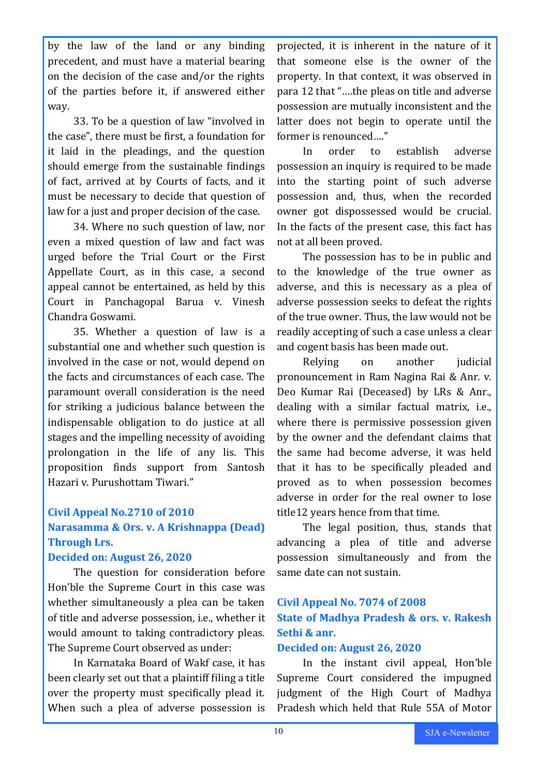by the law of the land or any binding precedent, and must have a material bearing on the decision of the case and/or the rights of the parties before it, if answered either way.

33. To be a question of law "involved in the case", there must be first, a foundation for it laid in the pleadings, and the question should emerge from the sustainable findings of fact, arrived at by Courts of facts, and it must be necessary to decide that question of law for a just and proper decision of the case.

34. Where no such question of law, nor even a mixed question of law and fact was urged before the Trial Court or the First Appellate Court, as in this case, a second appeal cannot be entertained, as held by this Court in Panchagopal Barua v. Vinesh Chandra Goswami.

35. Whether a question of law is a substantial one and whether such question is involved in the case or not, would depend on the facts and circumstances of each case. The paramount overall consideration is the need for striking a judicious balance between the indispensable obligation to do justice at all stages and the impelling necessity of avoiding prolongation in the life of any lis. This proposition finds support from Santosh Hazari v. Purushottam Tiwari."

### **Civil Appeal No.2710 of 2010**

# **Narasamma & Ors. v. A Krishnappa (Dead) Through Lrs.**

#### **Decided on: August 26, 2020**

The question for consideration before Hon'ble the Supreme Court in this case was whether simultaneously a plea can be taken of title and adverse possession, i.e., whether it would amount to taking contradictory pleas. The Supreme Court observed as under:

In Karnataka Board of Wakf case, it has been clearly set out that a plaintiff filing a title over the property must specifically plead it. When such a plea of adverse possession is

projected, it is inherent in the nature of it that someone else is the owner of the property. In that context, it was observed in para 12 that "….the pleas on title and adverse possession are mutually inconsistent and the latter does not begin to operate until the former is renounced…."

In order to establish adverse possession an inquiry is required to be made into the starting point of such adverse possession and, thus, when the recorded owner got dispossessed would be crucial. In the facts of the present case, this fact has not at all been proved.

The possession has to be in public and to the knowledge of the true owner as adverse, and this is necessary as a plea of adverse possession seeks to defeat the rights of the true owner. Thus, the law would not be readily accepting of such a case unless a clear and cogent basis has been made out.

Relying on another judicial pronouncement in Ram Nagina Rai & Anr. v. Deo Kumar Rai (Deceased) by LRs & Anr., dealing with a similar factual matrix, i.e., where there is permissive possession given by the owner and the defendant claims that the same had become adverse, it was held that it has to be specifically pleaded and proved as to when possession becomes adverse in order for the real owner to lose title12 years hence from that time.

The legal position, thus, stands that advancing a plea of title and adverse possession simultaneously and from the same date can not sustain.

# **Civil Appeal No. 7074 of 2008 State of Madhya Pradesh & ors. v. Rakesh Sethi & anr.**

#### **Decided on: August 26, 2020**

In the instant civil appeal, Hon'ble Supreme Court considered the impugned judgment of the High Court of Madhya Pradesh which held that Rule 55A of Motor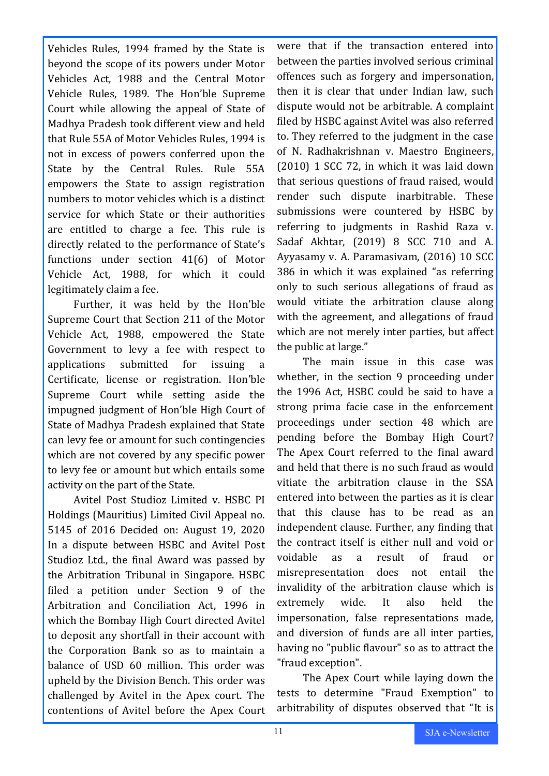Vehicles Rules, 1994 framed by the State is beyond the scope of its powers under Motor Vehicles Act, 1988 and the Central Motor Vehicle Rules, 1989. The Hon'ble Supreme Court while allowing the appeal of State of Madhya Pradesh took different view and held that Rule 55A of Motor Vehicles Rules, 1994 is not in excess of powers conferred upon the State by the Central Rules. Rule 55A empowers the State to assign registration numbers to motor vehicles which is a distinct service for which State or their authorities are entitled to charge a fee. This rule is directly related to the performance of State's functions under section 41(6) of Motor Vehicle Act, 1988, for which it could legitimately claim a fee.

Further, it was held by the Hon'ble Supreme Court that Section 211 of the Motor Vehicle Act, 1988, empowered the State Government to levy a fee with respect to applications submitted for issuing a Certificate, license or registration. Hon'ble Supreme Court while setting aside the impugned judgment of Hon'ble High Court of State of Madhya Pradesh explained that State can levy fee or amount for such contingencies which are not covered by any specific power to levy fee or amount but which entails some activity on the part of the State.

Avitel Post Studioz Limited v. HSBC PI Holdings (Mauritius) Limited Civil Appeal no. 5145 of 2016 Decided on: August 19, 2020 In a dispute between HSBC and Avitel Post Studioz Ltd., the final Award was passed by the Arbitration Tribunal in Singapore. HSBC filed a petition under Section 9 of the Arbitration and Conciliation Act, 1996 in which the Bombay High Court directed Avitel to deposit any shortfall in their account with the Corporation Bank so as to maintain a balance of USD 60 million. This order was upheld by the Division Bench. This order was challenged by Avitel in the Apex court. The contentions of Avitel before the Apex Court

were that if the transaction entered into between the parties involved serious criminal offences such as forgery and impersonation, then it is clear that under Indian law, such dispute would not be arbitrable. A complaint filed by HSBC against Avitel was also referred to. They referred to the judgment in the case of N. Radhakrishnan v. Maestro Engineers, (2010) 1 SCC 72, in which it was laid down that serious questions of fraud raised, would render such dispute inarbitrable. These submissions were countered by HSBC by referring to judgments in Rashid Raza v. Sadaf Akhtar, (2019) 8 SCC 710 and A. Ayyasamy v. A. Paramasivam, (2016) 10 SCC 386 in which it was explained "as referring only to such serious allegations of fraud as would vitiate the arbitration clause along with the agreement, and allegations of fraud which are not merely inter parties, but affect the public at large."

The main issue in this case was whether, in the section 9 proceeding under the 1996 Act, HSBC could be said to have a strong prima facie case in the enforcement proceedings under section 48 which are pending before the Bombay High Court? The Apex Court referred to the final award and held that there is no such fraud as would vitiate the arbitration clause in the SSA entered into between the parties as it is clear that this clause has to be read as an independent clause. Further, any finding that the contract itself is either null and void or voidable as a result of fraud or misrepresentation does not entail the invalidity of the arbitration clause which is extremely wide. It also held the impersonation, false representations made, and diversion of funds are all inter parties, having no "public flavour" so as to attract the "fraud exception".

The Apex Court while laying down the tests to determine "Fraud Exemption" to arbitrability of disputes observed that "It is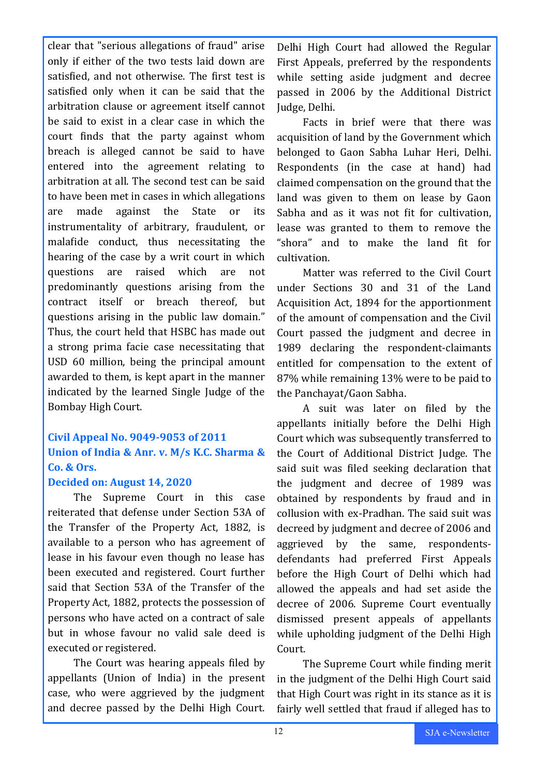clear that "serious allegations of fraud" arise only if either of the two tests laid down are satisfied, and not otherwise. The first test is satisfied only when it can be said that the arbitration clause or agreement itself cannot be said to exist in a clear case in which the court finds that the party against whom breach is alleged cannot be said to have entered into the agreement relating to arbitration at all. The second test can be said to have been met in cases in which allegations are made against the State or its instrumentality of arbitrary, fraudulent, or malafide conduct, thus necessitating the hearing of the case by a writ court in which questions are raised which are not predominantly questions arising from the contract itself or breach thereof, but questions arising in the public law domain." Thus, the court held that HSBC has made out a strong prima facie case necessitating that USD 60 million, being the principal amount awarded to them, is kept apart in the manner indicated by the learned Single Judge of the Bombay High Court.

# **Civil Appeal No. 9049-9053 of 2011 Union of India & Anr. v. M/s K.C. Sharma & Co. & Ors.**

#### **Decided on: August 14, 2020**

The Supreme Court in this case reiterated that defense under Section 53A of the Transfer of the Property Act, 1882, is available to a person who has agreement of lease in his favour even though no lease has been executed and registered. Court further said that Section 53A of the Transfer of the Property Act, 1882, protects the possession of persons who have acted on a contract of sale but in whose favour no valid sale deed is executed or registered.

The Court was hearing appeals filed by appellants (Union of India) in the present case, who were aggrieved by the judgment and decree passed by the Delhi High Court.

Delhi High Court had allowed the Regular First Appeals, preferred by the respondents while setting aside judgment and decree passed in 2006 by the Additional District Judge, Delhi.

Facts in brief were that there was acquisition of land by the Government which belonged to Gaon Sabha Luhar Heri, Delhi. Respondents (in the case at hand) had claimed compensation on the ground that the land was given to them on lease by Gaon Sabha and as it was not fit for cultivation, lease was granted to them to remove the "shora" and to make the land fit for cultivation.

Matter was referred to the Civil Court under Sections 30 and 31 of the Land Acquisition Act, 1894 for the apportionment of the amount of compensation and the Civil Court passed the judgment and decree in 1989 declaring the respondent-claimants entitled for compensation to the extent of 87% while remaining 13% were to be paid to the Panchayat/Gaon Sabha.

A suit was later on filed by the appellants initially before the Delhi High Court which was subsequently transferred to the Court of Additional District Judge. The said suit was filed seeking declaration that the judgment and decree of 1989 was obtained by respondents by fraud and in collusion with ex-Pradhan. The said suit was decreed by judgment and decree of 2006 and aggrieved by the same, respondentsdefendants had preferred First Appeals before the High Court of Delhi which had allowed the appeals and had set aside the decree of 2006. Supreme Court eventually dismissed present appeals of appellants while upholding judgment of the Delhi High Court.

The Supreme Court while finding merit in the judgment of the Delhi High Court said that High Court was right in its stance as it is fairly well settled that fraud if alleged has to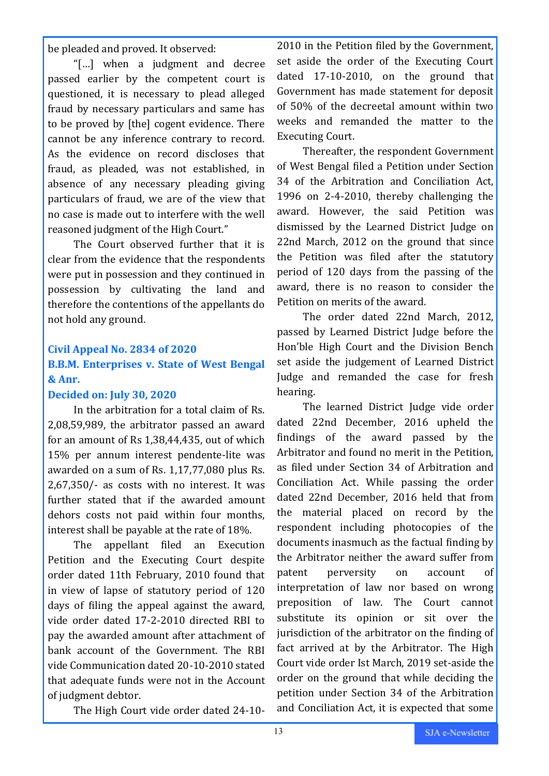be pleaded and proved. It observed:

"[…] when a judgment and decree passed earlier by the competent court is questioned, it is necessary to plead alleged fraud by necessary particulars and same has to be proved by [the] cogent evidence. There cannot be any inference contrary to record. As the evidence on record discloses that fraud, as pleaded, was not established, in absence of any necessary pleading giving particulars of fraud, we are of the view that no case is made out to interfere with the well reasoned judgment of the High Court."

The Court observed further that it is clear from the evidence that the respondents were put in possession and they continued in possession by cultivating the land and therefore the contentions of the appellants do not hold any ground.

#### **Civil Appeal No. 2834 of 2020**

# **B.B.M. Enterprises v. State of West Bengal & Anr.**

#### **Decided on: July 30, 2020**

In the arbitration for a total claim of Rs. 2,08,59,989, the arbitrator passed an award for an amount of Rs 1,38,44,435, out of which 15% per annum interest pendente-lite was awarded on a sum of Rs. 1,17,77,080 plus Rs. 2,67,350/- as costs with no interest. It was further stated that if the awarded amount dehors costs not paid within four months, interest shall be payable at the rate of 18%.

The appellant filed an Execution Petition and the Executing Court despite order dated 11th February, 2010 found that in view of lapse of statutory period of 120 days of filing the appeal against the award, vide order dated 17-2-2010 directed RBI to pay the awarded amount after attachment of bank account of the Government. The RBI vide Communication dated 20-10-2010 stated that adequate funds were not in the Account of judgment debtor.

The High Court vide order dated 24-10-

2010 in the Petition filed by the Government, set aside the order of the Executing Court dated 17-10-2010, on the ground that Government has made statement for deposit of 50% of the decreetal amount within two weeks and remanded the matter to the Executing Court.

Thereafter, the respondent Government of West Bengal filed a Petition under Section 34 of the Arbitration and Conciliation Act, 1996 on 2-4-2010, thereby challenging the award. However, the said Petition was dismissed by the Learned District Judge on 22nd March, 2012 on the ground that since the Petition was filed after the statutory period of 120 days from the passing of the award, there is no reason to consider the Petition on merits of the award.

The order dated 22nd March, 2012, passed by Learned District Judge before the Hon'ble High Court and the Division Bench set aside the judgement of Learned District Judge and remanded the case for fresh hearing.

The learned District Judge vide order dated 22nd December, 2016 upheld the findings of the award passed by the Arbitrator and found no merit in the Petition, as filed under Section 34 of Arbitration and Conciliation Act. While passing the order dated 22nd December, 2016 held that from the material placed on record by the respondent including photocopies of the documents inasmuch as the factual finding by the Arbitrator neither the award suffer from patent perversity on account of interpretation of law nor based on wrong preposition of law. The Court cannot substitute its opinion or sit over the jurisdiction of the arbitrator on the finding of fact arrived at by the Arbitrator. The High Court vide order Ist March, 2019 set-aside the order on the ground that while deciding the petition under Section 34 of the Arbitration and Conciliation Act, it is expected that some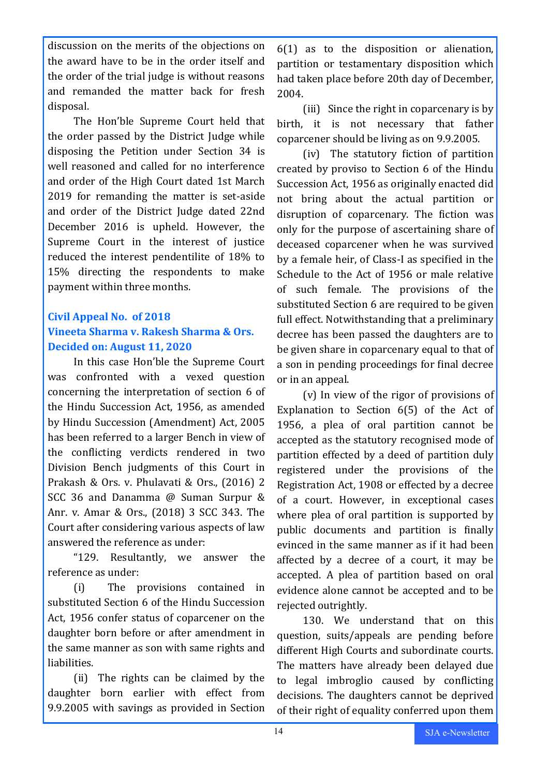discussion on the merits of the objections on the award have to be in the order itself and the order of the trial judge is without reasons and remanded the matter back for fresh disposal.

The Hon'ble Supreme Court held that the order passed by the District Judge while disposing the Petition under Section 34 is well reasoned and called for no interference and order of the High Court dated 1st March 2019 for remanding the matter is set-aside and order of the District Judge dated 22nd December 2016 is upheld. However, the Supreme Court in the interest of justice reduced the interest pendentilite of 18% to 15% directing the respondents to make payment within three months.

# **Civil Appeal No. of 2018 Vineeta Sharma v. Rakesh Sharma & Ors. Decided on: August 11, 2020**

In this case Hon'ble the Supreme Court was confronted with a vexed question concerning the interpretation of section 6 of the Hindu Succession Act, 1956, as amended by Hindu Succession (Amendment) Act, 2005 has been referred to a larger Bench in view of the conflicting verdicts rendered in two Division Bench judgments of this Court in Prakash & Ors. v. Phulavati & Ors., (2016) 2 SCC 36 and Danamma @ Suman Surpur & Anr. v. Amar & Ors., (2018) 3 SCC 343. The Court after considering various aspects of law answered the reference as under:

"129. Resultantly, we answer the reference as under:

(i) The provisions contained in substituted Section 6 of the Hindu Succession Act, 1956 confer status of coparcener on the daughter born before or after amendment in the same manner as son with same rights and liabilities.

(ii) The rights can be claimed by the daughter born earlier with effect from 9.9.2005 with savings as provided in Section

6(1) as to the disposition or alienation, partition or testamentary disposition which had taken place before 20th day of December, 2004.

(iii) Since the right in coparcenary is by birth, it is not necessary that father coparcener should be living as on 9.9.2005.

(iv) The statutory fiction of partition created by proviso to Section 6 of the Hindu Succession Act, 1956 as originally enacted did not bring about the actual partition or disruption of coparcenary. The fiction was only for the purpose of ascertaining share of deceased coparcener when he was survived by a female heir, of Class-I as specified in the Schedule to the Act of 1956 or male relative of such female. The provisions of the substituted Section 6 are required to be given full effect. Notwithstanding that a preliminary decree has been passed the daughters are to be given share in coparcenary equal to that of a son in pending proceedings for final decree or in an appeal.

(v) In view of the rigor of provisions of Explanation to Section 6(5) of the Act of 1956, a plea of oral partition cannot be accepted as the statutory recognised mode of partition effected by a deed of partition duly registered under the provisions of the Registration Act, 1908 or effected by a decree of a court. However, in exceptional cases where plea of oral partition is supported by public documents and partition is finally evinced in the same manner as if it had been affected by a decree of a court, it may be accepted. A plea of partition based on oral evidence alone cannot be accepted and to be rejected outrightly.

130. We understand that on this question, suits/appeals are pending before different High Courts and subordinate courts. The matters have already been delayed due to legal imbroglio caused by conflicting decisions. The daughters cannot be deprived of their right of equality conferred upon them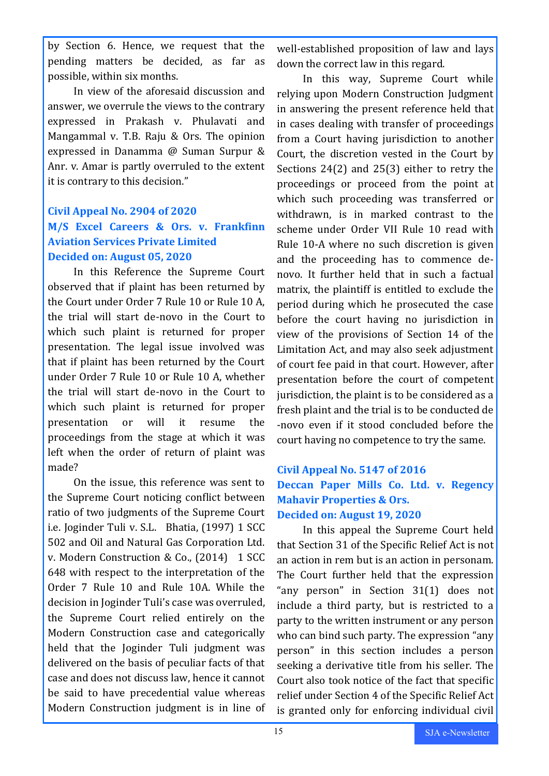by Section 6. Hence, we request that the pending matters be decided, as far as possible, within six months.

In view of the aforesaid discussion and answer, we overrule the views to the contrary expressed in Prakash v. Phulavati and Mangammal v. T.B. Raju & Ors. The opinion expressed in Danamma @ Suman Surpur & Anr. v. Amar is partly overruled to the extent it is contrary to this decision."

# **Civil Appeal No. 2904 of 2020 M/S Excel Careers & Ors. v. Frankfinn Aviation Services Private Limited Decided on: August 05, 2020**

In this Reference the Supreme Court observed that if plaint has been returned by the Court under Order 7 Rule 10 or Rule 10 A, the trial will start de-novo in the Court to which such plaint is returned for proper presentation. The legal issue involved was that if plaint has been returned by the Court under Order 7 Rule 10 or Rule 10 A, whether the trial will start de-novo in the Court to which such plaint is returned for proper presentation or will it resume the proceedings from the stage at which it was left when the order of return of plaint was made?

On the issue, this reference was sent to the Supreme Court noticing conflict between ratio of two judgments of the Supreme Court i.e. Joginder Tuli v. S.L. Bhatia, (1997) 1 SCC 502 and Oil and Natural Gas Corporation Ltd. v. Modern Construction & Co., (2014) 1 SCC 648 with respect to the interpretation of the Order 7 Rule 10 and Rule 10A. While the decision in Joginder Tuli's case was overruled, the Supreme Court relied entirely on the Modern Construction case and categorically held that the Joginder Tuli judgment was delivered on the basis of peculiar facts of that case and does not discuss law, hence it cannot be said to have precedential value whereas Modern Construction judgment is in line of

well-established proposition of law and lays down the correct law in this regard.

In this way, Supreme Court while relying upon Modern Construction Judgment in answering the present reference held that in cases dealing with transfer of proceedings from a Court having jurisdiction to another Court, the discretion vested in the Court by Sections 24(2) and 25(3) either to retry the proceedings or proceed from the point at which such proceeding was transferred or withdrawn, is in marked contrast to the scheme under Order VII Rule 10 read with Rule 10-A where no such discretion is given and the proceeding has to commence denovo. It further held that in such a factual matrix, the plaintiff is entitled to exclude the period during which he prosecuted the case before the court having no jurisdiction in view of the provisions of Section 14 of the Limitation Act, and may also seek adjustment of court fee paid in that court. However, after presentation before the court of competent jurisdiction, the plaint is to be considered as a fresh plaint and the trial is to be conducted de -novo even if it stood concluded before the court having no competence to try the same.

# **Civil Appeal No. 5147 of 2016 Deccan Paper Mills Co. Ltd. v. Regency Mahavir Properties & Ors. Decided on: August 19, 2020**

In this appeal the Supreme Court held that Section 31 of the Specific Relief Act is not an action in rem but is an action in personam. The Court further held that the expression "any person" in Section 31(1) does not include a third party, but is restricted to a party to the written instrument or any person who can bind such party. The expression "any person" in this section includes a person seeking a derivative title from his seller. The Court also took notice of the fact that specific relief under Section 4 of the Specific Relief Act is granted only for enforcing individual civil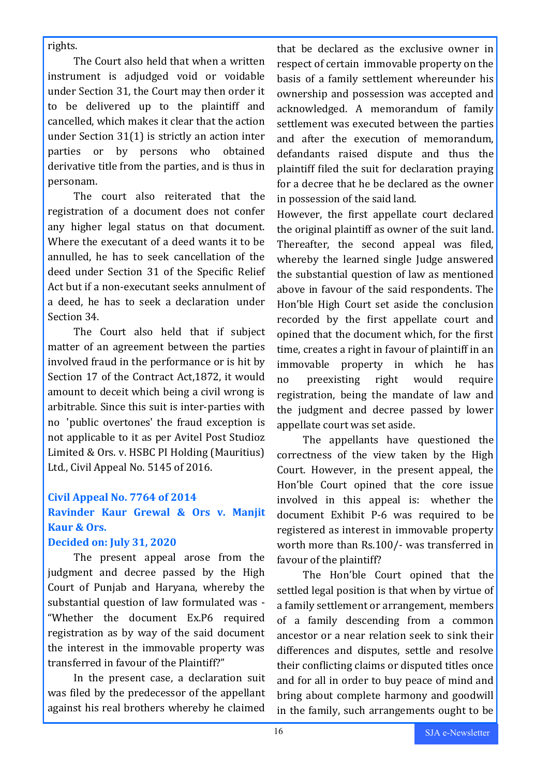#### rights.

The Court also held that when a written instrument is adjudged void or voidable under Section 31, the Court may then order it to be delivered up to the plaintiff and cancelled, which makes it clear that the action under Section 31(1) is strictly an action inter parties or by persons who obtained derivative title from the parties, and is thus in personam.

The court also reiterated that the registration of a document does not confer any higher legal status on that document. Where the executant of a deed wants it to be annulled, he has to seek cancellation of the deed under Section 31 of the Specific Relief Act but if a non-executant seeks annulment of a deed, he has to seek a declaration under Section 34.

The Court also held that if subject matter of an agreement between the parties involved fraud in the performance or is hit by Section 17 of the Contract Act,1872, it would amount to deceit which being a civil wrong is arbitrable. Since this suit is inter-parties with no 'public overtones' the fraud exception is not applicable to it as per Avitel Post Studioz Limited & Ors. v. HSBC PI Holding (Mauritius) Ltd., Civil Appeal No. 5145 of 2016.

### **Civil Appeal No. 7764 of 2014 Ravinder Kaur Grewal & Ors v. Manjit**

# **Kaur & Ors.**

# **Decided on: July 31, 2020**

The present appeal arose from the judgment and decree passed by the High Court of Punjab and Haryana, whereby the substantial question of law formulated was - "Whether the document Ex.P6 required registration as by way of the said document the interest in the immovable property was transferred in favour of the Plaintiff?"

In the present case, a declaration suit was filed by the predecessor of the appellant against his real brothers whereby he claimed

that be declared as the exclusive owner in respect of certain immovable property on the basis of a family settlement whereunder his ownership and possession was accepted and acknowledged. A memorandum of family settlement was executed between the parties and after the execution of memorandum, defandants raised dispute and thus the plaintiff filed the suit for declaration praying for a decree that he be declared as the owner in possession of the said land.

However, the first appellate court declared the original plaintiff as owner of the suit land. Thereafter, the second appeal was filed, whereby the learned single Judge answered the substantial question of law as mentioned above in favour of the said respondents. The Hon'ble High Court set aside the conclusion recorded by the first appellate court and opined that the document which, for the first time, creates a right in favour of plaintiff in an immovable property in which he has no preexisting right would require registration, being the mandate of law and the judgment and decree passed by lower appellate court was set aside.

The appellants have questioned the correctness of the view taken by the High Court. However, in the present appeal, the Hon'ble Court opined that the core issue involved in this appeal is: whether the document Exhibit P-6 was required to be registered as interest in immovable property worth more than Rs.100/- was transferred in favour of the plaintiff?

The Hon'ble Court opined that the settled legal position is that when by virtue of a family settlement or arrangement, members of a family descending from a common ancestor or a near relation seek to sink their differences and disputes, settle and resolve their conflicting claims or disputed titles once and for all in order to buy peace of mind and bring about complete harmony and goodwill in the family, such arrangements ought to be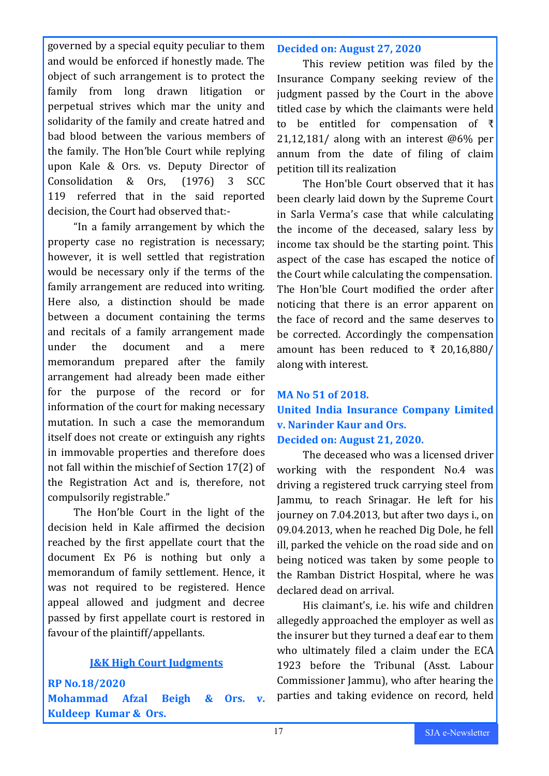governed by a special equity peculiar to them and would be enforced if honestly made. The object of such arrangement is to protect the family from long drawn litigation or perpetual strives which mar the unity and solidarity of the family and create hatred and bad blood between the various members of the family. The Hon'ble Court while replying upon Kale & Ors. vs. Deputy Director of Consolidation & Ors, (1976) 3 SCC 119 referred that in the said reported decision, the Court had observed that:-

"In a family arrangement by which the property case no registration is necessary; however, it is well settled that registration would be necessary only if the terms of the family arrangement are reduced into writing. Here also, a distinction should be made between a document containing the terms and recitals of a family arrangement made under the document and a mere memorandum prepared after the family arrangement had already been made either for the purpose of the record or for information of the court for making necessary mutation. In such a case the memorandum itself does not create or extinguish any rights in immovable properties and therefore does not fall within the mischief of Section 17(2) of the Registration Act and is, therefore, not compulsorily registrable."

The Hon'ble Court in the light of the decision held in Kale affirmed the decision reached by the first appellate court that the document Ex P6 is nothing but only a memorandum of family settlement. Hence, it was not required to be registered. Hence appeal allowed and judgment and decree passed by first appellate court is restored in favour of the plaintiff/appellants.

### **J&K High Court Judgments**

**RP No.18/2020 Mohammad Afzal Beigh & Ors. v. Kuldeep Kumar & Ors.** 

#### **Decided on: August 27, 2020**

This review petition was filed by the Insurance Company seeking review of the judgment passed by the Court in the above titled case by which the claimants were held to be entitled for compensation of ₹ 21,12,181/ along with an interest @6% per annum from the date of filing of claim petition till its realization

The Hon'ble Court observed that it has been clearly laid down by the Supreme Court in Sarla Verma's case that while calculating the income of the deceased, salary less by income tax should be the starting point. This aspect of the case has escaped the notice of the Court while calculating the compensation. The Hon'ble Court modified the order after noticing that there is an error apparent on the face of record and the same deserves to be corrected. Accordingly the compensation amount has been reduced to ₹ 20,16,880/ along with interest.

# **MA No 51 of 2018. United India Insurance Company Limited v. Narinder Kaur and Ors. Decided on: August 21, 2020.**

The deceased who was a licensed driver working with the respondent No.4 was driving a registered truck carrying steel from Jammu, to reach Srinagar. He left for his journey on 7.04.2013, but after two days i., on 09.04.2013, when he reached Dig Dole, he fell ill, parked the vehicle on the road side and on being noticed was taken by some people to the Ramban District Hospital, where he was declared dead on arrival.

His claimant's, i.e. his wife and children allegedly approached the employer as well as the insurer but they turned a deaf ear to them who ultimately filed a claim under the ECA 1923 before the Tribunal (Asst. Labour Commissioner Jammu), who after hearing the parties and taking evidence on record, held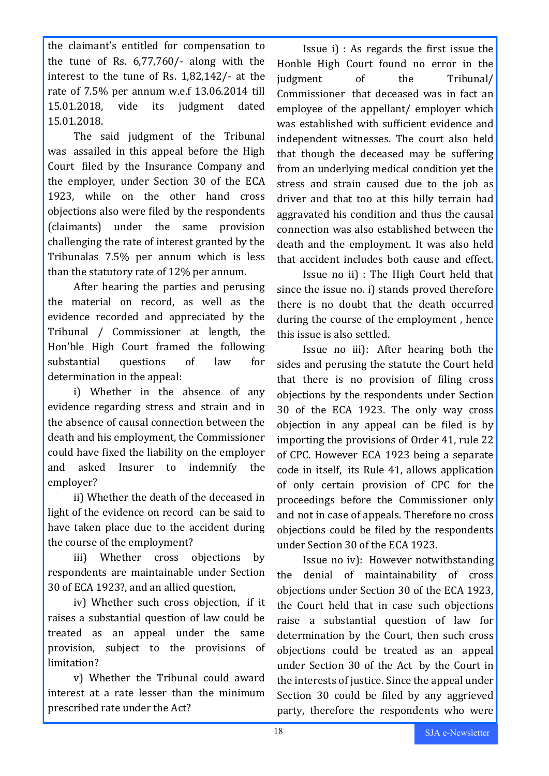the claimant's entitled for compensation to the tune of Rs. 6,77,760/- along with the interest to the tune of Rs. 1,82,142/- at the rate of 7.5% per annum w.e.f 13.06.2014 till 15.01.2018, vide its judgment dated 15.01.2018.

The said judgment of the Tribunal was assailed in this appeal before the High Court filed by the Insurance Company and the employer, under Section 30 of the ECA 1923, while on the other hand cross objections also were filed by the respondents (claimants) under the same provision challenging the rate of interest granted by the Tribunalas 7.5% per annum which is less than the statutory rate of 12% per annum.

After hearing the parties and perusing the material on record, as well as the evidence recorded and appreciated by the Tribunal / Commissioner at length, the Hon'ble High Court framed the following substantial questions of law for determination in the appeal:

i) Whether in the absence of any evidence regarding stress and strain and in the absence of causal connection between the death and his employment, the Commissioner could have fixed the liability on the employer and asked Insurer to indemnify the employer?

ii) Whether the death of the deceased in light of the evidence on record can be said to have taken place due to the accident during the course of the employment?

iii) Whether cross objections by respondents are maintainable under Section 30 of ECA 1923?, and an allied question,

iv) Whether such cross objection, if it raises a substantial question of law could be treated as an appeal under the same provision, subject to the provisions of limitation?

v) Whether the Tribunal could award interest at a rate lesser than the minimum prescribed rate under the Act?

Issue i) : As regards the first issue the Honble High Court found no error in the judgment of the Tribunal/ Commissioner that deceased was in fact an employee of the appellant/ employer which was established with sufficient evidence and independent witnesses. The court also held that though the deceased may be suffering from an underlying medical condition yet the stress and strain caused due to the job as driver and that too at this hilly terrain had aggravated his condition and thus the causal connection was also established between the death and the employment. It was also held that accident includes both cause and effect.

Issue no ii) : The High Court held that since the issue no. i) stands proved therefore there is no doubt that the death occurred during the course of the employment , hence this issue is also settled.

Issue no iii): After hearing both the sides and perusing the statute the Court held that there is no provision of filing cross objections by the respondents under Section 30 of the ECA 1923. The only way cross objection in any appeal can be filed is by importing the provisions of Order 41, rule 22 of CPC. However ECA 1923 being a separate code in itself, its Rule 41, allows application of only certain provision of CPC for the proceedings before the Commissioner only and not in case of appeals. Therefore no cross objections could be filed by the respondents under Section 30 of the ECA 1923.

Issue no iv): However notwithstanding the denial of maintainability of cross objections under Section 30 of the ECA 1923, the Court held that in case such objections raise a substantial question of law for determination by the Court, then such cross objections could be treated as an appeal under Section 30 of the Act by the Court in the interests of justice. Since the appeal under Section 30 could be filed by any aggrieved party, therefore the respondents who were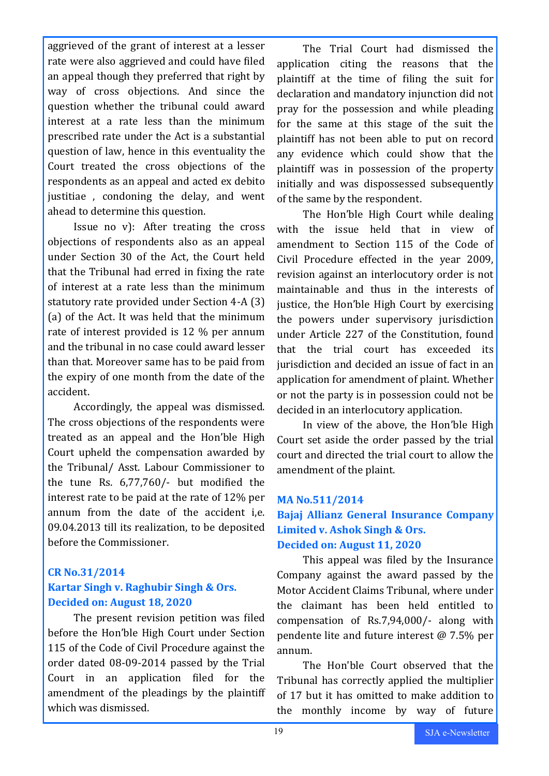aggrieved of the grant of interest at a lesser rate were also aggrieved and could have filed an appeal though they preferred that right by way of cross objections. And since the question whether the tribunal could award interest at a rate less than the minimum prescribed rate under the Act is a substantial question of law, hence in this eventuality the Court treated the cross objections of the respondents as an appeal and acted ex debito justitiae , condoning the delay, and went ahead to determine this question.

Issue no v): After treating the cross objections of respondents also as an appeal under Section 30 of the Act, the Court held that the Tribunal had erred in fixing the rate of interest at a rate less than the minimum statutory rate provided under Section 4-A (3) (a) of the Act. It was held that the minimum rate of interest provided is 12 % per annum and the tribunal in no case could award lesser than that. Moreover same has to be paid from the expiry of one month from the date of the accident.

Accordingly, the appeal was dismissed. The cross objections of the respondents were treated as an appeal and the Hon'ble High Court upheld the compensation awarded by the Tribunal/ Asst. Labour Commissioner to the tune Rs. 6,77,760/- but modified the interest rate to be paid at the rate of 12% per annum from the date of the accident i,e. 09.04.2013 till its realization, to be deposited before the Commissioner.

### **CR No.31/2014 Kartar Singh v. Raghubir Singh & Ors. Decided on: August 18, 2020**

The present revision petition was filed before the Hon'ble High Court under Section 115 of the Code of Civil Procedure against the order dated 08-09-2014 passed by the Trial Court in an application filed for the amendment of the pleadings by the plaintiff which was dismissed.

The Trial Court had dismissed the application citing the reasons that the plaintiff at the time of filing the suit for declaration and mandatory injunction did not pray for the possession and while pleading for the same at this stage of the suit the plaintiff has not been able to put on record any evidence which could show that the plaintiff was in possession of the property initially and was dispossessed subsequently of the same by the respondent.

The Hon'ble High Court while dealing with the issue held that in view of amendment to Section 115 of the Code of Civil Procedure effected in the year 2009, revision against an interlocutory order is not maintainable and thus in the interests of justice, the Hon'ble High Court by exercising the powers under supervisory jurisdiction under Article 227 of the Constitution, found that the trial court has exceeded its jurisdiction and decided an issue of fact in an application for amendment of plaint. Whether or not the party is in possession could not be decided in an interlocutory application.

In view of the above, the Hon'ble High Court set aside the order passed by the trial court and directed the trial court to allow the amendment of the plaint.

### **MA No.511/2014**

## **Bajaj Allianz General Insurance Company Limited v. Ashok Singh & Ors. Decided on: August 11, 2020**

This appeal was filed by the Insurance Company against the award passed by the Motor Accident Claims Tribunal, where under the claimant has been held entitled to compensation of Rs.7,94,000/- along with pendente lite and future interest @ 7.5% per annum.

The Hon'ble Court observed that the Tribunal has correctly applied the multiplier of 17 but it has omitted to make addition to the monthly income by way of future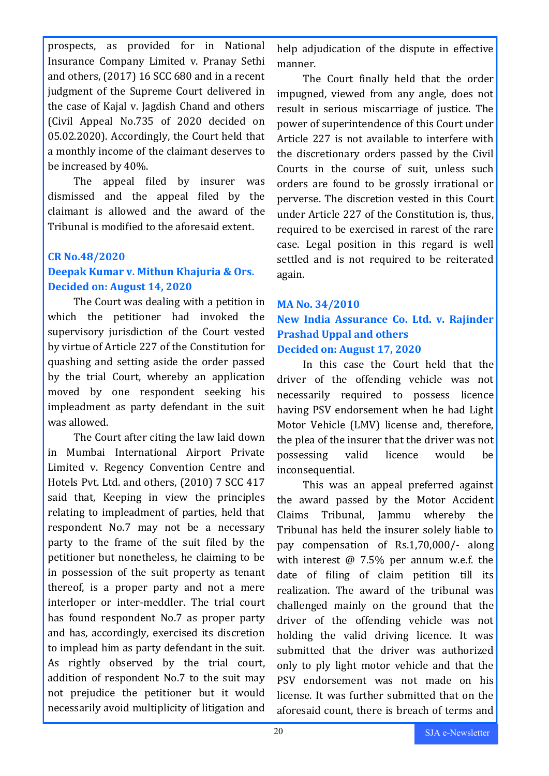prospects, as provided for in National Insurance Company Limited v. Pranay Sethi and others, (2017) 16 SCC 680 and in a recent judgment of the Supreme Court delivered in the case of Kajal v. Jagdish Chand and others (Civil Appeal No.735 of 2020 decided on 05.02.2020). Accordingly, the Court held that a monthly income of the claimant deserves to be increased by 40%.

The appeal filed by insurer was dismissed and the appeal filed by the claimant is allowed and the award of the Tribunal is modified to the aforesaid extent.

### **CR No.48/2020 Deepak Kumar v. Mithun Khajuria & Ors. Decided on: August 14, 2020**

The Court was dealing with a petition in which the petitioner had invoked the supervisory jurisdiction of the Court vested by virtue of Article 227 of the Constitution for quashing and setting aside the order passed by the trial Court, whereby an application moved by one respondent seeking his impleadment as party defendant in the suit was allowed.

The Court after citing the law laid down in Mumbai International Airport Private Limited v. Regency Convention Centre and Hotels Pvt. Ltd. and others, (2010) 7 SCC 417 said that, Keeping in view the principles relating to impleadment of parties, held that respondent No.7 may not be a necessary party to the frame of the suit filed by the petitioner but nonetheless, he claiming to be in possession of the suit property as tenant thereof, is a proper party and not a mere interloper or inter-meddler. The trial court has found respondent No.7 as proper party and has, accordingly, exercised its discretion to implead him as party defendant in the suit. As rightly observed by the trial court, addition of respondent No.7 to the suit may not prejudice the petitioner but it would necessarily avoid multiplicity of litigation and

help adjudication of the dispute in effective manner.

The Court finally held that the order impugned, viewed from any angle, does not result in serious miscarriage of justice. The power of superintendence of this Court under Article 227 is not available to interfere with the discretionary orders passed by the Civil Courts in the course of suit, unless such orders are found to be grossly irrational or perverse. The discretion vested in this Court under Article 227 of the Constitution is, thus, required to be exercised in rarest of the rare case. Legal position in this regard is well settled and is not required to be reiterated again.

# **MA No. 34/2010 New India Assurance Co. Ltd. v. Rajinder Prashad Uppal and others Decided on: August 17, 2020**

In this case the Court held that the driver of the offending vehicle was not necessarily required to possess licence having PSV endorsement when he had Light Motor Vehicle (LMV) license and, therefore, the plea of the insurer that the driver was not possessing valid licence would be inconsequential.

This was an appeal preferred against the award passed by the Motor Accident Claims Tribunal, Jammu whereby the Tribunal has held the insurer solely liable to pay compensation of Rs.1,70,000/- along with interest @ 7.5% per annum w.e.f. the date of filing of claim petition till its realization. The award of the tribunal was challenged mainly on the ground that the driver of the offending vehicle was not holding the valid driving licence. It was submitted that the driver was authorized only to ply light motor vehicle and that the PSV endorsement was not made on his license. It was further submitted that on the aforesaid count, there is breach of terms and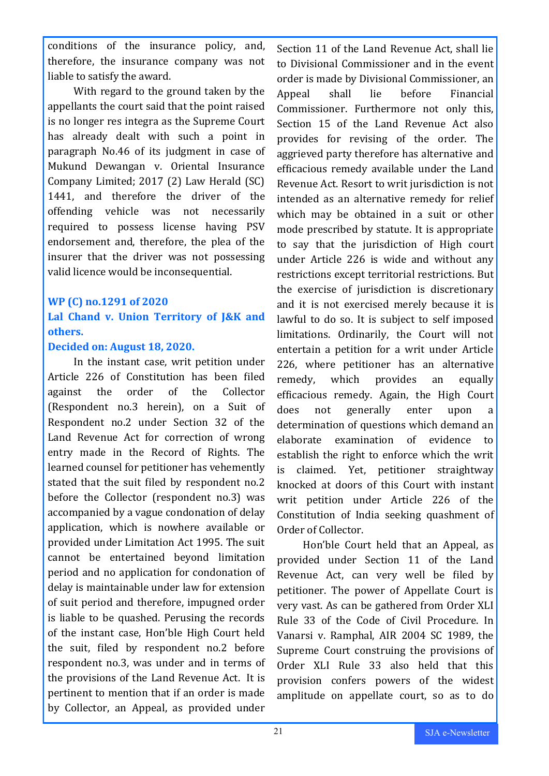conditions of the insurance policy, and, therefore, the insurance company was not liable to satisfy the award.

With regard to the ground taken by the appellants the court said that the point raised is no longer res integra as the Supreme Court has already dealt with such a point in paragraph No.46 of its judgment in case of Mukund Dewangan v. Oriental Insurance Company Limited; 2017 (2) Law Herald (SC) 1441, and therefore the driver of the offending vehicle was not necessarily required to possess license having PSV endorsement and, therefore, the plea of the insurer that the driver was not possessing valid licence would be inconsequential.

#### **WP (C) no.1291 of 2020**

# **Lal Chand v. Union Territory of J&K and others.**

#### **Decided on: August 18, 2020.**

In the instant case, writ petition under Article 226 of Constitution has been filed against the order of the Collector (Respondent no.3 herein), on a Suit of Respondent no.2 under Section 32 of the Land Revenue Act for correction of wrong entry made in the Record of Rights. The learned counsel for petitioner has vehemently stated that the suit filed by respondent no.2 before the Collector (respondent no.3) was accompanied by a vague condonation of delay application, which is nowhere available or provided under Limitation Act 1995. The suit cannot be entertained beyond limitation period and no application for condonation of delay is maintainable under law for extension of suit period and therefore, impugned order is liable to be quashed. Perusing the records of the instant case, Hon'ble High Court held the suit, filed by respondent no.2 before respondent no.3, was under and in terms of the provisions of the Land Revenue Act. It is pertinent to mention that if an order is made by Collector, an Appeal, as provided under

Section 11 of the Land Revenue Act, shall lie to Divisional Commissioner and in the event order is made by Divisional Commissioner, an Appeal shall lie before Financial Commissioner. Furthermore not only this, Section 15 of the Land Revenue Act also provides for revising of the order. The aggrieved party therefore has alternative and efficacious remedy available under the Land Revenue Act. Resort to writ jurisdiction is not intended as an alternative remedy for relief which may be obtained in a suit or other mode prescribed by statute. It is appropriate to say that the jurisdiction of High court under Article 226 is wide and without any restrictions except territorial restrictions. But the exercise of jurisdiction is discretionary and it is not exercised merely because it is lawful to do so. It is subject to self imposed limitations. Ordinarily, the Court will not entertain a petition for a writ under Article 226, where petitioner has an alternative remedy, which provides an equally efficacious remedy. Again, the High Court does not generally enter upon a determination of questions which demand an elaborate examination of evidence to establish the right to enforce which the writ is claimed. Yet, petitioner straightway knocked at doors of this Court with instant writ petition under Article 226 of the Constitution of India seeking quashment of Order of Collector.

Hon'ble Court held that an Appeal, as provided under Section 11 of the Land Revenue Act, can very well be filed by petitioner. The power of Appellate Court is very vast. As can be gathered from Order XLI Rule 33 of the Code of Civil Procedure. In Vanarsi v. Ramphal, AIR 2004 SC 1989, the Supreme Court construing the provisions of Order XLI Rule 33 also held that this provision confers powers of the widest amplitude on appellate court, so as to do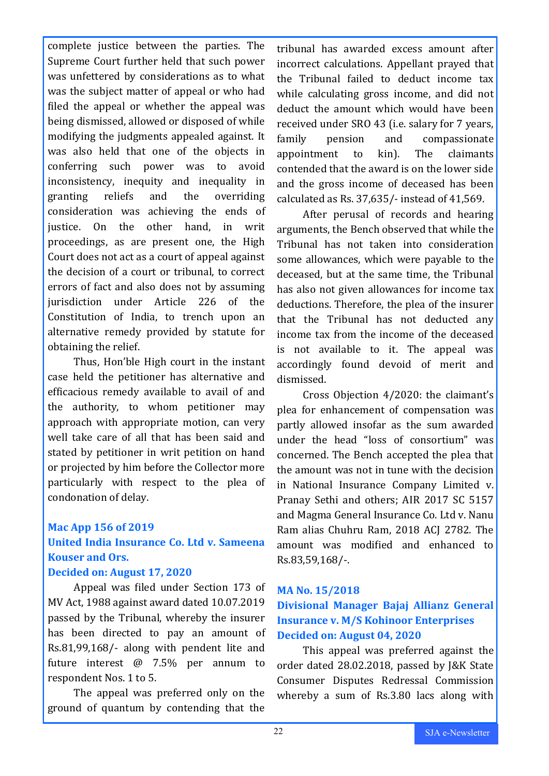complete justice between the parties. The Supreme Court further held that such power was unfettered by considerations as to what was the subject matter of appeal or who had filed the appeal or whether the appeal was being dismissed, allowed or disposed of while modifying the judgments appealed against. It was also held that one of the objects in conferring such power was to avoid inconsistency, inequity and inequality in granting reliefs and the overriding consideration was achieving the ends of justice. On the other hand, in writ proceedings, as are present one, the High Court does not act as a court of appeal against the decision of a court or tribunal, to correct errors of fact and also does not by assuming jurisdiction under Article 226 of the Constitution of India, to trench upon an alternative remedy provided by statute for obtaining the relief.

Thus, Hon'ble High court in the instant case held the petitioner has alternative and efficacious remedy available to avail of and the authority, to whom petitioner may approach with appropriate motion, can very well take care of all that has been said and stated by petitioner in writ petition on hand or projected by him before the Collector more particularly with respect to the plea of condonation of delay.

# **Mac App 156 of 2019**

# **United India Insurance Co. Ltd v. Sameena Kouser and Ors.**

#### **Decided on: August 17, 2020**

Appeal was filed under Section 173 of MV Act, 1988 against award dated 10.07.2019 passed by the Tribunal, whereby the insurer has been directed to pay an amount of Rs.81,99,168/- along with pendent lite and future interest @ 7.5% per annum to respondent Nos. 1 to 5.

The appeal was preferred only on the ground of quantum by contending that the

tribunal has awarded excess amount after incorrect calculations. Appellant prayed that the Tribunal failed to deduct income tax while calculating gross income, and did not deduct the amount which would have been received under SRO 43 (i.e. salary for 7 years, family pension and compassionate appointment to kin). The claimants contended that the award is on the lower side and the gross income of deceased has been calculated as Rs. 37,635/- instead of 41,569.

After perusal of records and hearing arguments, the Bench observed that while the Tribunal has not taken into consideration some allowances, which were payable to the deceased, but at the same time, the Tribunal has also not given allowances for income tax deductions. Therefore, the plea of the insurer that the Tribunal has not deducted any income tax from the income of the deceased is not available to it. The appeal was accordingly found devoid of merit and dismissed.

Cross Objection 4/2020: the claimant's plea for enhancement of compensation was partly allowed insofar as the sum awarded under the head "loss of consortium" was concerned. The Bench accepted the plea that the amount was not in tune with the decision in National Insurance Company Limited v. Pranay Sethi and others; AIR 2017 SC 5157 and Magma General Insurance Co. Ltd v. Nanu Ram alias Chuhru Ram, 2018 ACJ 2782. The amount was modified and enhanced to Rs.83,59,168/-.

### **MA No. 15/2018**

# **Divisional Manager Bajaj Allianz General Insurance v. M/S Kohinoor Enterprises Decided on: August 04, 2020**

This appeal was preferred against the order dated 28.02.2018, passed by J&K State Consumer Disputes Redressal Commission whereby a sum of Rs.3.80 lacs along with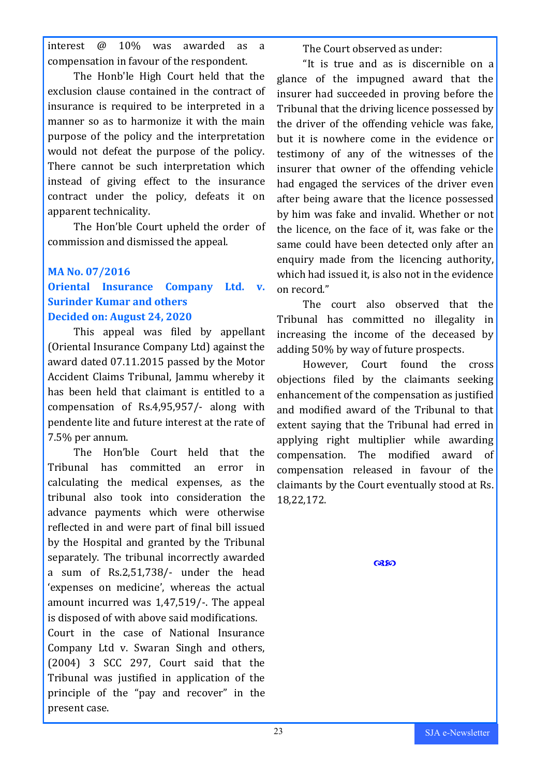interest @ 10% was awarded as a compensation in favour of the respondent.

The Honb'le High Court held that the exclusion clause contained in the contract of insurance is required to be interpreted in a manner so as to harmonize it with the main purpose of the policy and the interpretation would not defeat the purpose of the policy. There cannot be such interpretation which instead of giving effect to the insurance contract under the policy, defeats it on apparent technicality.

The Hon'ble Court upheld the order of commission and dismissed the appeal.

# **MA No. 07/2016**

# **Oriental Insurance Company Ltd. v. Surinder Kumar and others Decided on: August 24, 2020**

This appeal was filed by appellant (Oriental Insurance Company Ltd) against the award dated 07.11.2015 passed by the Motor Accident Claims Tribunal, Jammu whereby it has been held that claimant is entitled to a compensation of Rs.4,95,957/- along with pendente lite and future interest at the rate of 7.5% per annum.

The Hon'ble Court held that the Tribunal has committed an error in calculating the medical expenses, as the tribunal also took into consideration the advance payments which were otherwise reflected in and were part of final bill issued by the Hospital and granted by the Tribunal separately. The tribunal incorrectly awarded a sum of Rs.2,51,738/- under the head 'expenses on medicine', whereas the actual amount incurred was 1,47,519/-. The appeal is disposed of with above said modifications.

Court in the case of National Insurance Company Ltd v. Swaran Singh and others, (2004) 3 SCC 297, Court said that the Tribunal was justified in application of the principle of the "pay and recover" in the present case.

The Court observed as under:

"It is true and as is discernible on a glance of the impugned award that the insurer had succeeded in proving before the Tribunal that the driving licence possessed by the driver of the offending vehicle was fake, but it is nowhere come in the evidence or testimony of any of the witnesses of the insurer that owner of the offending vehicle had engaged the services of the driver even after being aware that the licence possessed by him was fake and invalid. Whether or not the licence, on the face of it, was fake or the same could have been detected only after an enquiry made from the licencing authority, which had issued it, is also not in the evidence on record."

The court also observed that the Tribunal has committed no illegality in increasing the income of the deceased by adding 50% by way of future prospects.

However, Court found the cross objections filed by the claimants seeking enhancement of the compensation as justified and modified award of the Tribunal to that extent saying that the Tribunal had erred in applying right multiplier while awarding compensation. The modified award of compensation released in favour of the claimants by the Court eventually stood at Rs. 18,22,172.

 $@30$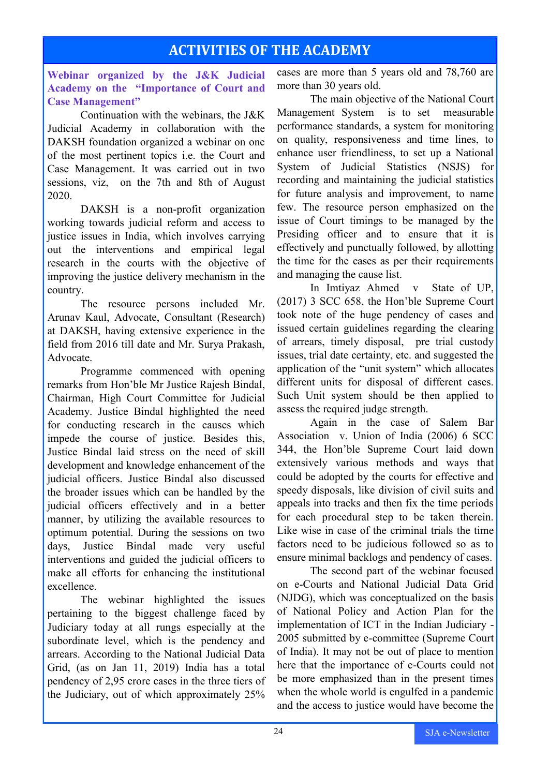# **ACTIVITIES OF THE ACADEMY**

**Webinar organized by the J&K Judicial Academy on the "Importance of Court and Case Management"**

Continuation with the webinars, the J&K Judicial Academy in collaboration with the DAKSH foundation organized a webinar on one of the most pertinent topics i.e. the Court and Case Management. It was carried out in two sessions, viz, on the 7th and 8th of August 2020.

DAKSH is a non-profit organization working towards judicial reform and access to justice issues in India, which involves carrying out the interventions and empirical legal research in the courts with the objective of improving the justice delivery mechanism in the country.

The resource persons included Mr. Arunav Kaul, Advocate, Consultant (Research) at DAKSH, having extensive experience in the field from 2016 till date and Mr. Surya Prakash, Advocate.

Programme commenced with opening remarks from Hon'ble Mr Justice Rajesh Bindal, Chairman, High Court Committee for Judicial Academy. Justice Bindal highlighted the need for conducting research in the causes which impede the course of justice. Besides this, Justice Bindal laid stress on the need of skill development and knowledge enhancement of the judicial officers. Justice Bindal also discussed the broader issues which can be handled by the judicial officers effectively and in a better manner, by utilizing the available resources to optimum potential. During the sessions on two days, Justice Bindal made very useful interventions and guided the judicial officers to make all efforts for enhancing the institutional excellence.

The webinar highlighted the issues pertaining to the biggest challenge faced by Judiciary today at all rungs especially at the subordinate level, which is the pendency and arrears. According to the National Judicial Data Grid, (as on Jan 11, 2019) India has a total pendency of 2,95 crore cases in the three tiers of the Judiciary, out of which approximately 25%

cases are more than 5 years old and 78,760 are more than 30 years old.

The main objective of the National Court Management System is to set measurable performance standards, a system for monitoring on quality, responsiveness and time lines, to enhance user friendliness, to set up a National System of Judicial Statistics (NSJS) for recording and maintaining the judicial statistics for future analysis and improvement, to name few. The resource person emphasized on the issue of Court timings to be managed by the Presiding officer and to ensure that it is effectively and punctually followed, by allotting the time for the cases as per their requirements and managing the cause list.

In Imtiyaz Ahmed v State of UP, (2017) 3 SCC 658, the Hon'ble Supreme Court took note of the huge pendency of cases and issued certain guidelines regarding the clearing of arrears, timely disposal, pre trial custody issues, trial date certainty, etc. and suggested the application of the "unit system" which allocates different units for disposal of different cases. Such Unit system should be then applied to assess the required judge strength.

Again in the case of Salem Bar Association v. Union of India (2006) 6 SCC 344, the Hon'ble Supreme Court laid down extensively various methods and ways that could be adopted by the courts for effective and speedy disposals, like division of civil suits and appeals into tracks and then fix the time periods for each procedural step to be taken therein. Like wise in case of the criminal trials the time factors need to be judicious followed so as to ensure minimal backlogs and pendency of cases.

The second part of the webinar focused on e-Courts and National Judicial Data Grid (NJDG), which was conceptualized on the basis of National Policy and Action Plan for the implementation of ICT in the Indian Judiciary - 2005 submitted by e-committee (Supreme Court of India). It may not be out of place to mention here that the importance of e-Courts could not be more emphasized than in the present times when the whole world is engulfed in a pandemic and the access to justice would have become the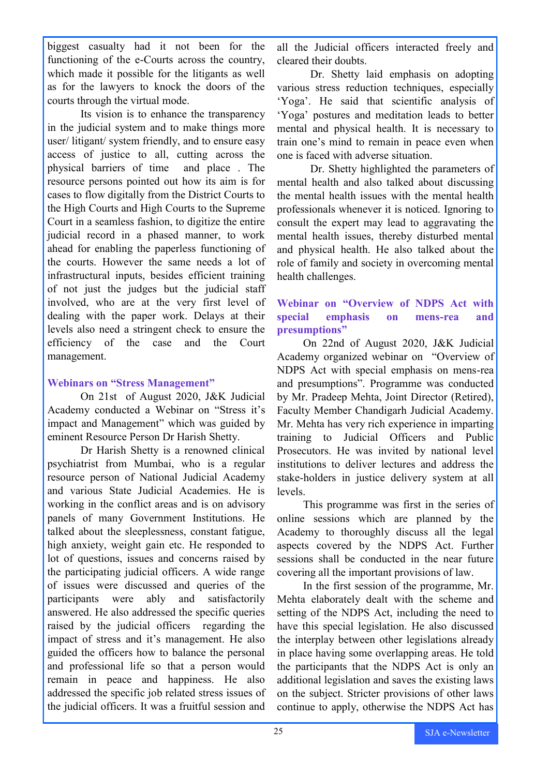biggest casualty had it not been for the functioning of the e-Courts across the country, which made it possible for the litigants as well as for the lawyers to knock the doors of the courts through the virtual mode.

Its vision is to enhance the transparency in the judicial system and to make things more user/ litigant/ system friendly, and to ensure easy access of justice to all, cutting across the physical barriers of time and place . The resource persons pointed out how its aim is for cases to flow digitally from the District Courts to the High Courts and High Courts to the Supreme Court in a seamless fashion, to digitize the entire judicial record in a phased manner, to work ahead for enabling the paperless functioning of the courts. However the same needs a lot of infrastructural inputs, besides efficient training of not just the judges but the judicial staff involved, who are at the very first level of dealing with the paper work. Delays at their levels also need a stringent check to ensure the efficiency of the case and the Court management.

#### **Webinars on "Stress Management"**

On 21st of August 2020, J&K Judicial Academy conducted a Webinar on "Stress it's impact and Management" which was guided by eminent Resource Person Dr Harish Shetty.

Dr Harish Shetty is a renowned clinical psychiatrist from Mumbai, who is a regular resource person of National Judicial Academy and various State Judicial Academies. He is working in the conflict areas and is on advisory panels of many Government Institutions. He talked about the sleeplessness, constant fatigue, high anxiety, weight gain etc. He responded to lot of questions, issues and concerns raised by the participating judicial officers. A wide range of issues were discussed and queries of the participants were ably and satisfactorily answered. He also addressed the specific queries raised by the judicial officers regarding the impact of stress and it's management. He also guided the officers how to balance the personal and professional life so that a person would remain in peace and happiness. He also addressed the specific job related stress issues of the judicial officers. It was a fruitful session and

all the Judicial officers interacted freely and cleared their doubts.

Dr. Shetty laid emphasis on adopting various stress reduction techniques, especially 'Yoga'. He said that scientific analysis of 'Yoga' postures and meditation leads to better mental and physical health. It is necessary to train one's mind to remain in peace even when one is faced with adverse situation.

Dr. Shetty highlighted the parameters of mental health and also talked about discussing the mental health issues with the mental health professionals whenever it is noticed. Ignoring to consult the expert may lead to aggravating the mental health issues, thereby disturbed mental and physical health. He also talked about the role of family and society in overcoming mental health challenges.

### **Webinar on "Overview of NDPS Act with special emphasis on mens-rea and presumptions"**

On 22nd of August 2020, J&K Judicial Academy organized webinar on "Overview of NDPS Act with special emphasis on mens-rea and presumptions". Programme was conducted by Mr. Pradeep Mehta, Joint Director (Retired), Faculty Member Chandigarh Judicial Academy. Mr. Mehta has very rich experience in imparting training to Judicial Officers and Public Prosecutors. He was invited by national level institutions to deliver lectures and address the stake-holders in justice delivery system at all levels.

This programme was first in the series of online sessions which are planned by the Academy to thoroughly discuss all the legal aspects covered by the NDPS Act. Further sessions shall be conducted in the near future covering all the important provisions of law.

In the first session of the programme, Mr. Mehta elaborately dealt with the scheme and setting of the NDPS Act, including the need to have this special legislation. He also discussed the interplay between other legislations already in place having some overlapping areas. He told the participants that the NDPS Act is only an additional legislation and saves the existing laws on the subject. Stricter provisions of other laws continue to apply, otherwise the NDPS Act has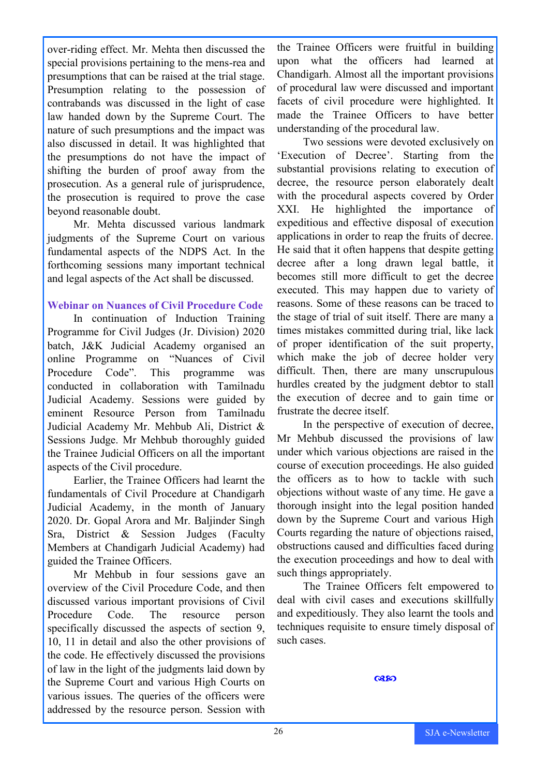over-riding effect. Mr. Mehta then discussed the special provisions pertaining to the mens-rea and presumptions that can be raised at the trial stage. Presumption relating to the possession of contrabands was discussed in the light of case law handed down by the Supreme Court. The nature of such presumptions and the impact was also discussed in detail. It was highlighted that the presumptions do not have the impact of shifting the burden of proof away from the prosecution. As a general rule of jurisprudence, the prosecution is required to prove the case beyond reasonable doubt.

Mr. Mehta discussed various landmark judgments of the Supreme Court on various fundamental aspects of the NDPS Act. In the forthcoming sessions many important technical and legal aspects of the Act shall be discussed.

#### **Webinar on Nuances of Civil Procedure Code**

In continuation of Induction Training Programme for Civil Judges (Jr. Division) 2020 batch, J&K Judicial Academy organised an online Programme on "Nuances of Civil Procedure Code". This programme was conducted in collaboration with Tamilnadu Judicial Academy. Sessions were guided by eminent Resource Person from Tamilnadu Judicial Academy Mr. Mehbub Ali, District & Sessions Judge. Mr Mehbub thoroughly guided the Trainee Judicial Officers on all the important aspects of the Civil procedure.

Earlier, the Trainee Officers had learnt the fundamentals of Civil Procedure at Chandigarh Judicial Academy, in the month of January 2020. Dr. Gopal Arora and Mr. Baljinder Singh Sra, District & Session Judges (Faculty Members at Chandigarh Judicial Academy) had guided the Trainee Officers.

Mr Mehbub in four sessions gave an overview of the Civil Procedure Code, and then discussed various important provisions of Civil Procedure Code. The resource person specifically discussed the aspects of section 9, 10, 11 in detail and also the other provisions of the code. He effectively discussed the provisions of law in the light of the judgments laid down by the Supreme Court and various High Courts on various issues. The queries of the officers were addressed by the resource person. Session with

the Trainee Officers were fruitful in building upon what the officers had learned at Chandigarh. Almost all the important provisions of procedural law were discussed and important facets of civil procedure were highlighted. It made the Trainee Officers to have better understanding of the procedural law.

Two sessions were devoted exclusively on 'Execution of Decree'. Starting from the substantial provisions relating to execution of decree, the resource person elaborately dealt with the procedural aspects covered by Order XXI. He highlighted the importance of expeditious and effective disposal of execution applications in order to reap the fruits of decree. He said that it often happens that despite getting decree after a long drawn legal battle, it becomes still more difficult to get the decree executed. This may happen due to variety of reasons. Some of these reasons can be traced to the stage of trial of suit itself. There are many a times mistakes committed during trial, like lack of proper identification of the suit property, which make the job of decree holder very difficult. Then, there are many unscrupulous hurdles created by the judgment debtor to stall the execution of decree and to gain time or frustrate the decree itself.

In the perspective of execution of decree, Mr Mehbub discussed the provisions of law under which various objections are raised in the course of execution proceedings. He also guided the officers as to how to tackle with such objections without waste of any time. He gave a thorough insight into the legal position handed down by the Supreme Court and various High Courts regarding the nature of objections raised, obstructions caused and difficulties faced during the execution proceedings and how to deal with such things appropriately.

The Trainee Officers felt empowered to deal with civil cases and executions skillfully and expeditiously. They also learnt the tools and techniques requisite to ensure timely disposal of such cases.

**Q350**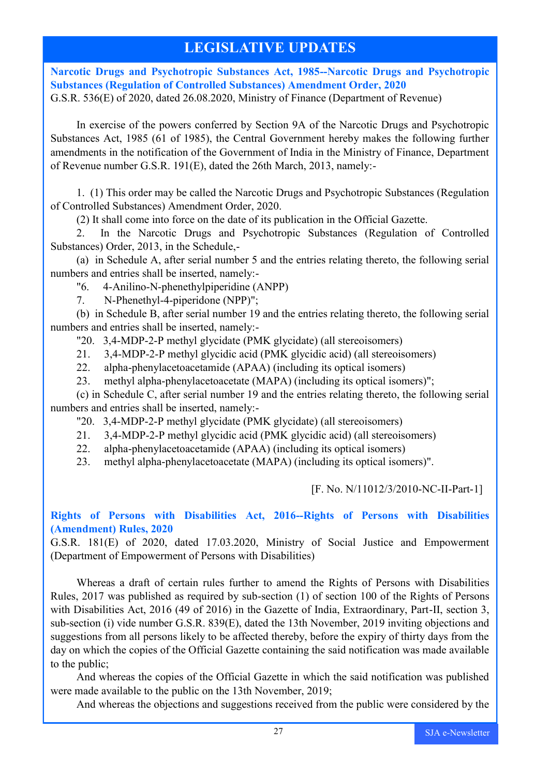# **LEGISLATIVE UPDATES**

**Narcotic Drugs and Psychotropic Substances Act, 1985--Narcotic Drugs and Psychotropic Substances (Regulation of Controlled Substances) Amendment Order, 2020** G.S.R. 536(E) of 2020, dated 26.08.2020, Ministry of Finance (Department of Revenue)

In exercise of the powers conferred by Section 9A of the Narcotic Drugs and Psychotropic Substances Act, 1985 (61 of 1985), the Central Government hereby makes the following further amendments in the notification of the Government of India in the Ministry of Finance, Department of Revenue number G.S.R. 191(E), dated the 26th March, 2013, namely:-

1. (1) This order may be called the Narcotic Drugs and Psychotropic Substances (Regulation of Controlled Substances) Amendment Order, 2020.

(2) It shall come into force on the date of its publication in the Official Gazette.

2. In the Narcotic Drugs and Psychotropic Substances (Regulation of Controlled Substances) Order, 2013, in the Schedule,-

(a) in Schedule A, after serial number 5 and the entries relating thereto, the following serial numbers and entries shall be inserted, namely:-

"6. 4-Anilino-N-phenethylpiperidine (ANPP)

7. N-Phenethyl-4-piperidone (NPP)";

(b) in Schedule B, after serial number 19 and the entries relating thereto, the following serial numbers and entries shall be inserted, namely:-

"20. 3,4-MDP-2-P methyl glycidate (PMK glycidate) (all stereoisomers)

- 21. 3,4-MDP-2-P methyl glycidic acid (PMK glycidic acid) (all stereoisomers)
- 22. alpha-phenylacetoacetamide (APAA) (including its optical isomers)
- 23. methyl alpha-phenylacetoacetate (MAPA) (including its optical isomers)";

(c) in Schedule C, after serial number 19 and the entries relating thereto, the following serial numbers and entries shall be inserted, namely:-

"20. 3,4-MDP-2-P methyl glycidate (PMK glycidate) (all stereoisomers)

- 21. 3,4-MDP-2-P methyl glycidic acid (PMK glycidic acid) (all stereoisomers)
- 22. alpha-phenylacetoacetamide (APAA) (including its optical isomers)

23. methyl alpha-phenylacetoacetate (MAPA) (including its optical isomers)".

[F. No. N/11012/3/2010-NC-II-Part-1]

### **Rights of Persons with Disabilities Act, 2016--Rights of Persons with Disabilities (Amendment) Rules, 2020**

G.S.R. 181(E) of 2020, dated 17.03.2020, Ministry of Social Justice and Empowerment (Department of Empowerment of Persons with Disabilities)

Whereas a draft of certain rules further to amend the Rights of Persons with Disabilities Rules, 2017 was published as required by sub-section (1) of section 100 of the Rights of Persons with Disabilities Act, 2016 (49 of 2016) in the Gazette of India, Extraordinary, Part-II, section 3, sub-section (i) vide number G.S.R. 839(E), dated the 13th November, 2019 inviting objections and suggestions from all persons likely to be affected thereby, before the expiry of thirty days from the day on which the copies of the Official Gazette containing the said notification was made available to the public;

And whereas the copies of the Official Gazette in which the said notification was published were made available to the public on the 13th November, 2019;

And whereas the objections and suggestions received from the public were considered by the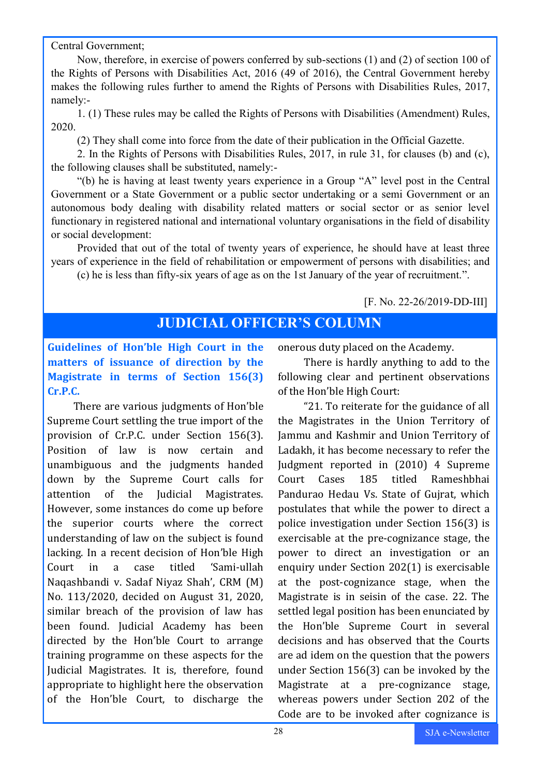Central Government;

Now, therefore, in exercise of powers conferred by sub-sections (1) and (2) of section 100 of the Rights of Persons with Disabilities Act, 2016 (49 of 2016), the Central Government hereby makes the following rules further to amend the Rights of Persons with Disabilities Rules, 2017, namely:-

1. (1) These rules may be called the Rights of Persons with Disabilities (Amendment) Rules, 2020.

(2) They shall come into force from the date of their publication in the Official Gazette.

2. In the Rights of Persons with Disabilities Rules, 2017, in rule 31, for clauses (b) and (c), the following clauses shall be substituted, namely:-

"(b) he is having at least twenty years experience in a Group "A" level post in the Central Government or a State Government or a public sector undertaking or a semi Government or an autonomous body dealing with disability related matters or social sector or as senior level functionary in registered national and international voluntary organisations in the field of disability or social development:

Provided that out of the total of twenty years of experience, he should have at least three years of experience in the field of rehabilitation or empowerment of persons with disabilities; and

(c) he is less than fifty-six years of age as on the 1st January of the year of recruitment.".

### [F. No. 22-26/2019-DD-III]

# **JUDICIAL OFFICER'S COLUMN**

# **Guidelines of Hon'ble High Court in the matters of issuance of direction by the Magistrate in terms of Section 156(3) Cr.P.C.**

There are various judgments of Hon'ble Supreme Court settling the true import of the provision of Cr.P.C. under Section 156(3). Position of law is now certain and unambiguous and the judgments handed down by the Supreme Court calls for attention of the Judicial Magistrates. However, some instances do come up before the superior courts where the correct understanding of law on the subject is found lacking. In a recent decision of Hon'ble High Court in a case titled 'Sami-ullah Naqashbandi v. Sadaf Niyaz Shah', CRM (M) No. 113/2020, decided on August 31, 2020, similar breach of the provision of law has been found. Judicial Academy has been directed by the Hon'ble Court to arrange training programme on these aspects for the Judicial Magistrates. It is, therefore, found appropriate to highlight here the observation of the Hon'ble Court, to discharge the

onerous duty placed on the Academy.

There is hardly anything to add to the following clear and pertinent observations of the Hon'ble High Court:

"21. To reiterate for the guidance of all the Magistrates in the Union Territory of Jammu and Kashmir and Union Territory of Ladakh, it has become necessary to refer the Judgment reported in (2010) 4 Supreme Court Cases 185 titled Rameshbhai Pandurao Hedau Vs. State of Gujrat, which postulates that while the power to direct a police investigation under Section 156(3) is exercisable at the pre-cognizance stage, the power to direct an investigation or an enquiry under Section 202(1) is exercisable at the post-cognizance stage, when the Magistrate is in seisin of the case. 22. The settled legal position has been enunciated by the Hon'ble Supreme Court in several decisions and has observed that the Courts are ad idem on the question that the powers under Section 156(3) can be invoked by the Magistrate at a pre-cognizance stage, whereas powers under Section 202 of the Code are to be invoked after cognizance is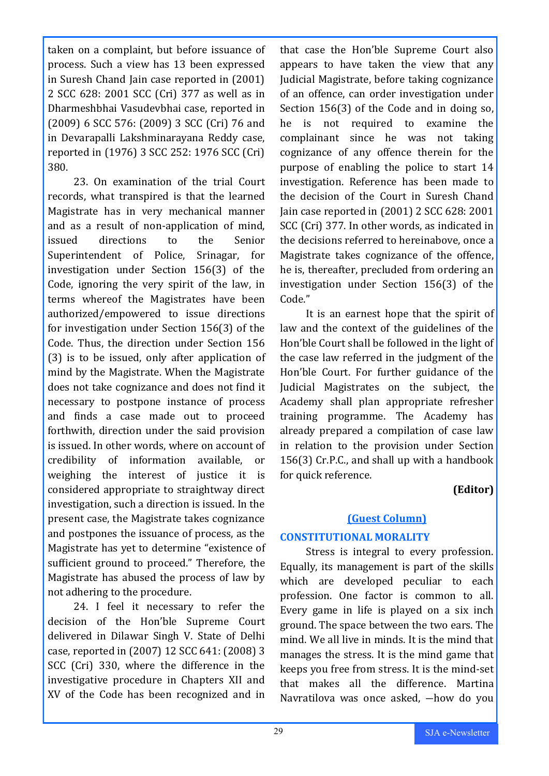taken on a complaint, but before issuance of process. Such a view has 13 been expressed in Suresh Chand Jain case reported in (2001) 2 SCC 628: 2001 SCC (Cri) 377 as well as in Dharmeshbhai Vasudevbhai case, reported in (2009) 6 SCC 576: (2009) 3 SCC (Cri) 76 and in Devarapalli Lakshminarayana Reddy case, reported in (1976) 3 SCC 252: 1976 SCC (Cri) 380.

23. On examination of the trial Court records, what transpired is that the learned Magistrate has in very mechanical manner and as a result of non-application of mind, issued directions to the Senior Superintendent of Police, Srinagar, for investigation under Section 156(3) of the Code, ignoring the very spirit of the law, in terms whereof the Magistrates have been authorized/empowered to issue directions for investigation under Section 156(3) of the Code. Thus, the direction under Section 156 (3) is to be issued, only after application of mind by the Magistrate. When the Magistrate does not take cognizance and does not find it necessary to postpone instance of process and finds a case made out to proceed forthwith, direction under the said provision is issued. In other words, where on account of credibility of information available, or weighing the interest of justice it is considered appropriate to straightway direct investigation, such a direction is issued. In the present case, the Magistrate takes cognizance and postpones the issuance of process, as the Magistrate has yet to determine "existence of sufficient ground to proceed." Therefore, the Magistrate has abused the process of law by not adhering to the procedure.

24. I feel it necessary to refer the decision of the Hon'ble Supreme Court delivered in Dilawar Singh V. State of Delhi case, reported in (2007) 12 SCC 641: (2008) 3 SCC (Cri) 330, where the difference in the investigative procedure in Chapters XII and XV of the Code has been recognized and in

that case the Hon'ble Supreme Court also appears to have taken the view that any Judicial Magistrate, before taking cognizance of an offence, can order investigation under Section 156(3) of the Code and in doing so, he is not required to examine the complainant since he was not taking cognizance of any offence therein for the purpose of enabling the police to start 14 investigation. Reference has been made to the decision of the Court in Suresh Chand Jain case reported in (2001) 2 SCC 628: 2001 SCC (Cri) 377. In other words, as indicated in the decisions referred to hereinabove, once a Magistrate takes cognizance of the offence, he is, thereafter, precluded from ordering an investigation under Section 156(3) of the Code."

It is an earnest hope that the spirit of law and the context of the guidelines of the Hon'ble Court shall be followed in the light of the case law referred in the judgment of the Hon'ble Court. For further guidance of the Judicial Magistrates on the subject, the Academy shall plan appropriate refresher training programme. The Academy has already prepared a compilation of case law in relation to the provision under Section 156(3) Cr.P.C., and shall up with a handbook for quick reference.

# **(Editor)**

### **(Guest Column)**

### **CONSTITUTIONAL MORALITY**

Stress is integral to every profession. Equally, its management is part of the skills which are developed peculiar to each profession. One factor is common to all. Every game in life is played on a six inch ground. The space between the two ears. The mind. We all live in minds. It is the mind that manages the stress. It is the mind game that keeps you free from stress. It is the mind-set that makes all the difference. Martina Navratilova was once asked, ―how do you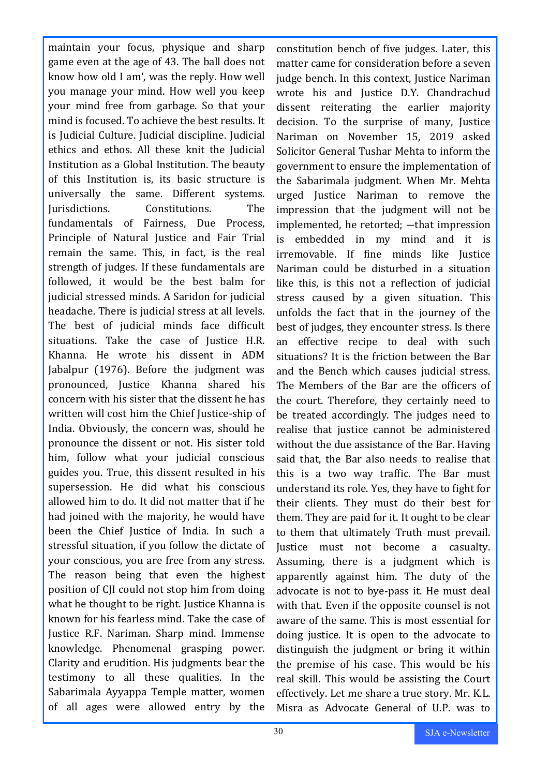maintain your focus, physique and sharp game even at the age of 43. The ball does not know how old I am', was the reply. How well you manage your mind. How well you keep your mind free from garbage. So that your mind is focused. To achieve the best results. It is Judicial Culture. Judicial discipline. Judicial ethics and ethos. All these knit the Judicial Institution as a Global Institution. The beauty of this Institution is, its basic structure is universally the same. Different systems. Jurisdictions. Constitutions. The fundamentals of Fairness, Due Process, Principle of Natural Justice and Fair Trial remain the same. This, in fact, is the real strength of judges. If these fundamentals are followed, it would be the best balm for judicial stressed minds. A Saridon for judicial headache. There is judicial stress at all levels. The best of judicial minds face difficult situations. Take the case of Justice H.R. Khanna. He wrote his dissent in ADM Jabalpur (1976). Before the judgment was pronounced, Justice Khanna shared his concern with his sister that the dissent he has written will cost him the Chief Justice-ship of India. Obviously, the concern was, should he pronounce the dissent or not. His sister told him, follow what your judicial conscious guides you. True, this dissent resulted in his supersession. He did what his conscious allowed him to do. It did not matter that if he had joined with the majority, he would have been the Chief Justice of India. In such a stressful situation, if you follow the dictate of your conscious, you are free from any stress. The reason being that even the highest position of CJI could not stop him from doing what he thought to be right. Justice Khanna is known for his fearless mind. Take the case of Justice R.F. Nariman. Sharp mind. Immense knowledge. Phenomenal grasping power. Clarity and erudition. His judgments bear the testimony to all these qualities. In the Sabarimala Ayyappa Temple matter, women of all ages were allowed entry by the

constitution bench of five judges. Later, this matter came for consideration before a seven judge bench. In this context, Justice Nariman wrote his and Justice D.Y. Chandrachud dissent reiterating the earlier majority decision. To the surprise of many, Justice Nariman on November 15, 2019 asked Solicitor General Tushar Mehta to inform the government to ensure the implementation of the Sabarimala judgment. When Mr. Mehta urged Justice Nariman to remove the impression that the judgment will not be implemented, he retorted; ―that impression is embedded in my mind and it is irremovable. If fine minds like Justice Nariman could be disturbed in a situation like this, is this not a reflection of judicial stress caused by a given situation. This unfolds the fact that in the journey of the best of judges, they encounter stress. Is there an effective recipe to deal with such situations? It is the friction between the Bar and the Bench which causes judicial stress. The Members of the Bar are the officers of the court. Therefore, they certainly need to be treated accordingly. The judges need to realise that justice cannot be administered without the due assistance of the Bar. Having said that, the Bar also needs to realise that this is a two way traffic. The Bar must understand its role. Yes, they have to fight for their clients. They must do their best for them. They are paid for it. It ought to be clear to them that ultimately Truth must prevail. Justice must not become a casualty. Assuming, there is a judgment which is apparently against him. The duty of the advocate is not to bye-pass it. He must deal with that. Even if the opposite counsel is not aware of the same. This is most essential for doing justice. It is open to the advocate to distinguish the judgment or bring it within the premise of his case. This would be his real skill. This would be assisting the Court effectively. Let me share a true story. Mr. K.L. Misra as Advocate General of U.P. was to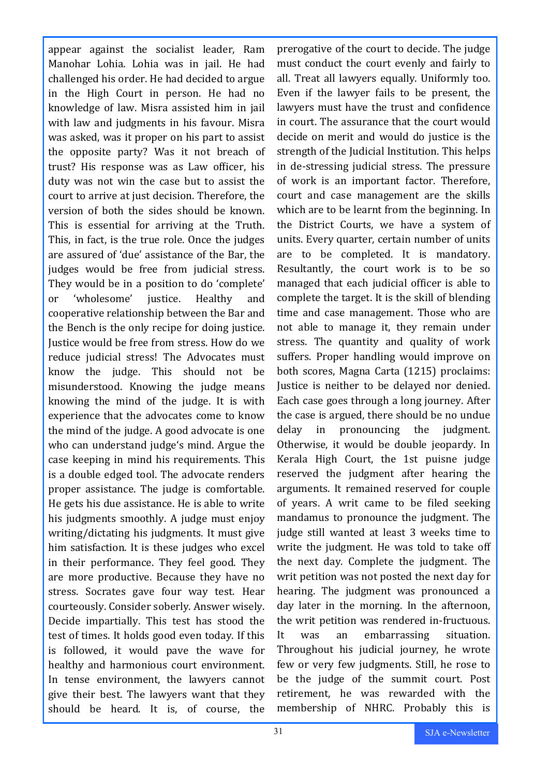appear against the socialist leader, Ram Manohar Lohia. Lohia was in jail. He had challenged his order. He had decided to argue in the High Court in person. He had no knowledge of law. Misra assisted him in jail with law and judgments in his favour. Misra was asked, was it proper on his part to assist the opposite party? Was it not breach of trust? His response was as Law officer, his duty was not win the case but to assist the court to arrive at just decision. Therefore, the version of both the sides should be known. This is essential for arriving at the Truth. This, in fact, is the true role. Once the judges are assured of 'due' assistance of the Bar, the judges would be free from judicial stress. They would be in a position to do 'complete' or 'wholesome' justice. Healthy and cooperative relationship between the Bar and the Bench is the only recipe for doing justice. Justice would be free from stress. How do we reduce judicial stress! The Advocates must know the judge. This should not be misunderstood. Knowing the judge means knowing the mind of the judge. It is with experience that the advocates come to know the mind of the judge. A good advocate is one who can understand judge's mind. Argue the case keeping in mind his requirements. This is a double edged tool. The advocate renders proper assistance. The judge is comfortable. He gets his due assistance. He is able to write his judgments smoothly. A judge must enjoy writing/dictating his judgments. It must give him satisfaction. It is these judges who excel in their performance. They feel good. They are more productive. Because they have no stress. Socrates gave four way test. Hear courteously. Consider soberly. Answer wisely. Decide impartially. This test has stood the test of times. It holds good even today. If this is followed, it would pave the wave for healthy and harmonious court environment. In tense environment, the lawyers cannot give their best. The lawyers want that they should be heard. It is, of course, the

prerogative of the court to decide. The judge must conduct the court evenly and fairly to all. Treat all lawyers equally. Uniformly too. Even if the lawyer fails to be present, the lawyers must have the trust and confidence in court. The assurance that the court would decide on merit and would do justice is the strength of the Judicial Institution. This helps in de-stressing judicial stress. The pressure of work is an important factor. Therefore, court and case management are the skills which are to be learnt from the beginning. In the District Courts, we have a system of units. Every quarter, certain number of units are to be completed. It is mandatory. Resultantly, the court work is to be so managed that each judicial officer is able to complete the target. It is the skill of blending time and case management. Those who are not able to manage it, they remain under stress. The quantity and quality of work suffers. Proper handling would improve on both scores, Magna Carta (1215) proclaims: Justice is neither to be delayed nor denied. Each case goes through a long journey. After the case is argued, there should be no undue delay in pronouncing the judgment. Otherwise, it would be double jeopardy. In Kerala High Court, the 1st puisne judge reserved the judgment after hearing the arguments. It remained reserved for couple of years. A writ came to be filed seeking mandamus to pronounce the judgment. The judge still wanted at least 3 weeks time to write the judgment. He was told to take off the next day. Complete the judgment. The writ petition was not posted the next day for hearing. The judgment was pronounced a day later in the morning. In the afternoon, the writ petition was rendered in-fructuous. It was an embarrassing situation. Throughout his judicial journey, he wrote few or very few judgments. Still, he rose to be the judge of the summit court. Post retirement, he was rewarded with the membership of NHRC. Probably this is